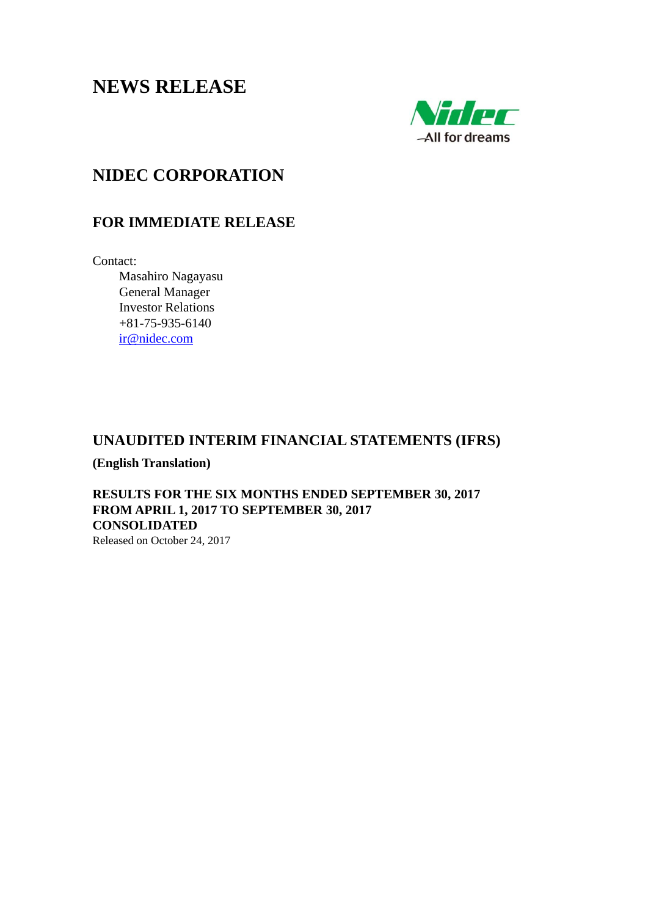# **NEWS RELEASE**



# **NIDEC CORPORATION**

# **FOR IMMEDIATE RELEASE**

Contact:

 Masahiro Nagayasu General Manager Investor Relations +81-75-935-6140 ir@nidec.com

# **UNAUDITED INTERIM FINANCIAL STATEMENTS (IFRS)**

**(English Translation)** 

**RESULTS FOR THE SIX MONTHS ENDED SEPTEMBER 30, 2017 FROM APRIL 1, 2017 TO SEPTEMBER 30, 2017 CONSOLIDATED** 

Released on October 24, 2017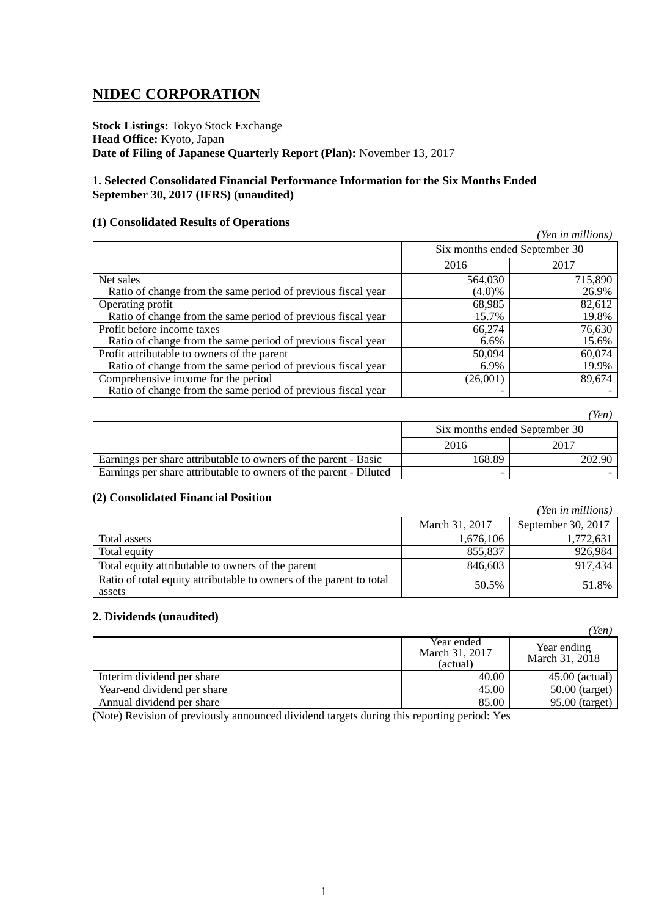# **NIDEC CORPORATION**

**Stock Listings:** Tokyo Stock Exchange **Head Office:** Kyoto, Japan **Date of Filing of Japanese Quarterly Report (Plan):** November 13, 2017

### **1. Selected Consolidated Financial Performance Information for the Six Months Ended September 30, 2017 (IFRS) (unaudited)**

### **(1) Consolidated Results of Operations**

|                                                              |                               | (Yen in millions) |
|--------------------------------------------------------------|-------------------------------|-------------------|
|                                                              | Six months ended September 30 |                   |
|                                                              | 2016                          | 2017              |
| Net sales                                                    | 564,030                       | 715,890           |
| Ratio of change from the same period of previous fiscal year | $(4.0)\%$                     | 26.9%             |
| Operating profit                                             | 68,985                        | 82,612            |
| Ratio of change from the same period of previous fiscal year | 15.7%                         | 19.8%             |
| Profit before income taxes                                   | 66,274                        | 76,630            |
| Ratio of change from the same period of previous fiscal year | 6.6%                          | 15.6%             |
| Profit attributable to owners of the parent                  | 50,094                        | 60,074            |
| Ratio of change from the same period of previous fiscal year | 6.9%                          | 19.9%             |
| Comprehensive income for the period                          | (26,001)                      | 89,674            |
| Ratio of change from the same period of previous fiscal year |                               |                   |

|                                                                   |                               | 'Yen)  |
|-------------------------------------------------------------------|-------------------------------|--------|
|                                                                   | Six months ended September 30 |        |
|                                                                   | 2016                          | 2017   |
| Earnings per share attributable to owners of the parent - Basic   | 168.89                        | 202.90 |
| Earnings per share attributable to owners of the parent - Diluted |                               |        |

### **(2) Consolidated Financial Position**

|                                                                               |                | (Yen in millions)  |
|-------------------------------------------------------------------------------|----------------|--------------------|
|                                                                               | March 31, 2017 | September 30, 2017 |
| Total assets                                                                  | 1,676,106      | 1,772,631          |
| Total equity                                                                  | 855,837        | 926,984            |
| Total equity attributable to owners of the parent                             | 846,603        | 917,434            |
| Ratio of total equity attributable to owners of the parent to total<br>assets | 50.5%          | 51.8%              |

### **2. Dividends (unaudited)**

|                             |                                          | 'Yen)                         |
|-----------------------------|------------------------------------------|-------------------------------|
|                             | Year ended<br>March 31, 2017<br>(actual) | Year ending<br>March 31, 2018 |
| Interim dividend per share  | 40.00                                    | $45.00$ (actual)              |
| Year-end dividend per share | 45.00                                    | $50.00$ (target)              |
| Annual dividend per share   | 85.00                                    | 95.00 (target)                |

(Note) Revision of previously announced dividend targets during this reporting period: Yes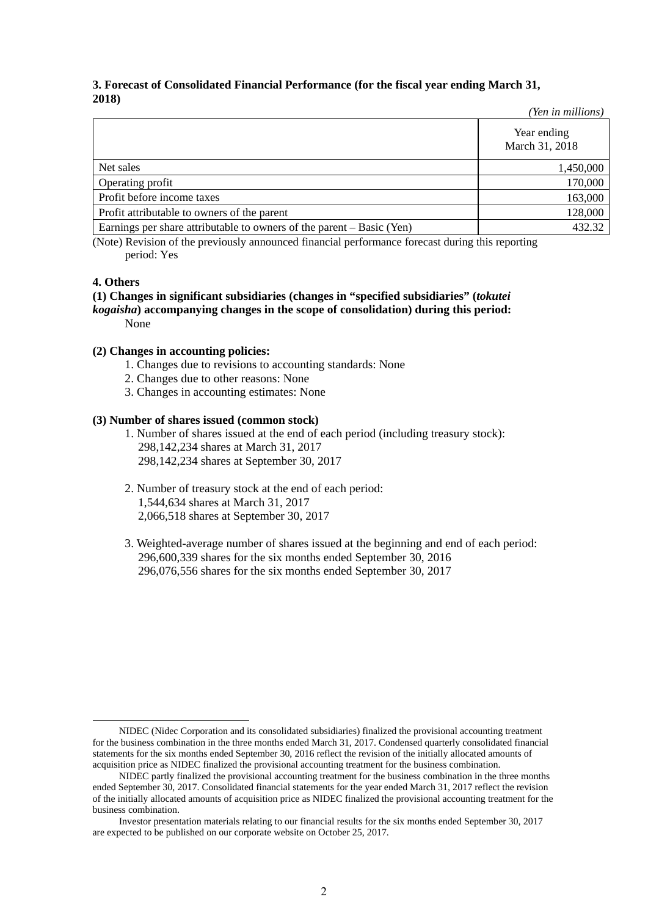#### **3. Forecast of Consolidated Financial Performance (for the fiscal year ending March 31, 2018)** *(Yen in millions)*

|                                                                       | Ten in millions)              |
|-----------------------------------------------------------------------|-------------------------------|
|                                                                       | Year ending<br>March 31, 2018 |
| Net sales                                                             | 1,450,000                     |
| Operating profit                                                      | 170,000                       |
| Profit before income taxes                                            | 163,000                       |
| Profit attributable to owners of the parent                           | 128,000                       |
| Earnings per share attributable to owners of the parent – Basic (Yen) | 432.32                        |

(Note) Revision of the previously announced financial performance forecast during this reporting period: Yes

### **4. Others**

### **(1) Changes in significant subsidiaries (changes in "specified subsidiaries" (***tokutei kogaisha***) accompanying changes in the scope of consolidation) during this period:** None

### **(2) Changes in accounting policies:**

- 1. Changes due to revisions to accounting standards: None
- 2. Changes due to other reasons: None
- 3. Changes in accounting estimates: None

### **(3) Number of shares issued (common stock)**

- 1. Number of shares issued at the end of each period (including treasury stock): 298,142,234 shares at March 31, 2017 298,142,234 shares at September 30, 2017
- 2. Number of treasury stock at the end of each period: 1,544,634 shares at March 31, 2017 2,066,518 shares at September 30, 2017
- 3. Weighted-average number of shares issued at the beginning and end of each period: 296,600,339 shares for the six months ended September 30, 2016 296,076,556 shares for the six months ended September 30, 2017

NIDEC (Nidec Corporation and its consolidated subsidiaries) finalized the provisional accounting treatment for the business combination in the three months ended March 31, 2017. Condensed quarterly consolidated financial statements for the six months ended September 30, 2016 reflect the revision of the initially allocated amounts of acquisition price as NIDEC finalized the provisional accounting treatment for the business combination.

NIDEC partly finalized the provisional accounting treatment for the business combination in the three months ended September 30, 2017. Consolidated financial statements for the year ended March 31, 2017 reflect the revision of the initially allocated amounts of acquisition price as NIDEC finalized the provisional accounting treatment for the business combination.

Investor presentation materials relating to our financial results for the six months ended September 30, 2017 are expected to be published on our corporate website on October 25, 2017.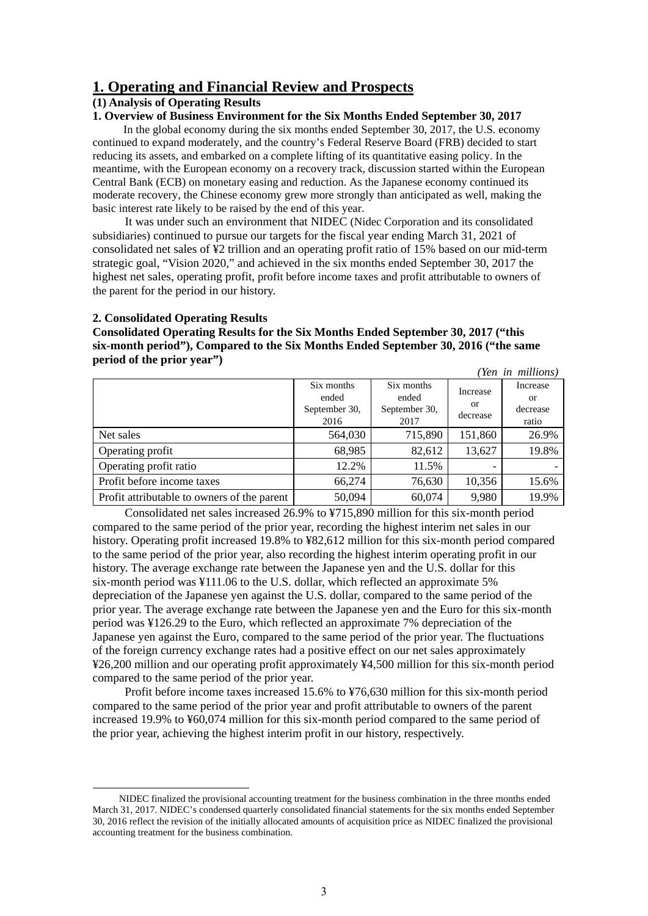# **1. Operating and Financial Review and Prospects**

### **(1) Analysis of Operating Results**

### **1. Overview of Business Environment for the Six Months Ended September 30, 2017**

In the global economy during the six months ended September 30, 2017, the U.S. economy continued to expand moderately, and the country's Federal Reserve Board (FRB) decided to start reducing its assets, and embarked on a complete lifting of its quantitative easing policy. In the meantime, with the European economy on a recovery track, discussion started within the European Central Bank (ECB) on monetary easing and reduction. As the Japanese economy continued its moderate recovery, the Chinese economy grew more strongly than anticipated as well, making the basic interest rate likely to be raised by the end of this year.

It was under such an environment that NIDEC (Nidec Corporation and its consolidated subsidiaries) continued to pursue our targets for the fiscal year ending March 31, 2021 of consolidated net sales of ¥2 trillion and an operating profit ratio of 15% based on our mid-term strategic goal, "Vision 2020," and achieved in the six months ended September 30, 2017 the highest net sales, operating profit, profit before income taxes and profit attributable to owners of the parent for the period in our history.

### **2. Consolidated Operating Results**

**Consolidated Operating Results for the Six Months Ended September 30, 2017 ("this six-month period"), Compared to the Six Months Ended September 30, 2016 ("the same period of the prior year")**

|                                             |                                              |                                              |                            | (Yen in millions)                   |
|---------------------------------------------|----------------------------------------------|----------------------------------------------|----------------------------|-------------------------------------|
|                                             | Six months<br>ended<br>September 30,<br>2016 | Six months<br>ended<br>September 30,<br>2017 | Increase<br>or<br>decrease | Increase<br>or<br>decrease<br>ratio |
| Net sales                                   | 564,030                                      | 715,890                                      | 151,860                    | 26.9%                               |
| Operating profit                            | 68,985                                       | 82,612                                       | 13,627                     | 19.8%                               |
| Operating profit ratio                      | 12.2%                                        | 11.5%                                        |                            |                                     |
| Profit before income taxes                  | 66,274                                       | 76,630                                       | 10,356                     | 15.6%                               |
| Profit attributable to owners of the parent | 50,094                                       | 60,074                                       | 9,980                      | 19.9%                               |

Consolidated net sales increased 26.9% to ¥715,890 million for this six-month period compared to the same period of the prior year, recording the highest interim net sales in our history. Operating profit increased 19.8% to ¥82,612 million for this six-month period compared to the same period of the prior year, also recording the highest interim operating profit in our history. The average exchange rate between the Japanese yen and the U.S. dollar for this six-month period was ¥111.06 to the U.S. dollar, which reflected an approximate 5% depreciation of the Japanese yen against the U.S. dollar, compared to the same period of the prior year. The average exchange rate between the Japanese yen and the Euro for this six-month period was ¥126.29 to the Euro, which reflected an approximate 7% depreciation of the Japanese yen against the Euro, compared to the same period of the prior year. The fluctuations of the foreign currency exchange rates had a positive effect on our net sales approximately ¥26,200 million and our operating profit approximately ¥4,500 million for this six-month period compared to the same period of the prior year.

Profit before income taxes increased 15.6% to ¥76,630 million for this six-month period compared to the same period of the prior year and profit attributable to owners of the parent increased 19.9% to ¥60,074 million for this six-month period compared to the same period of the prior year, achieving the highest interim profit in our history, respectively.

NIDEC finalized the provisional accounting treatment for the business combination in the three months ended March 31, 2017. NIDEC's condensed quarterly consolidated financial statements for the six months ended September 30, 2016 reflect the revision of the initially allocated amounts of acquisition price as NIDEC finalized the provisional accounting treatment for the business combination.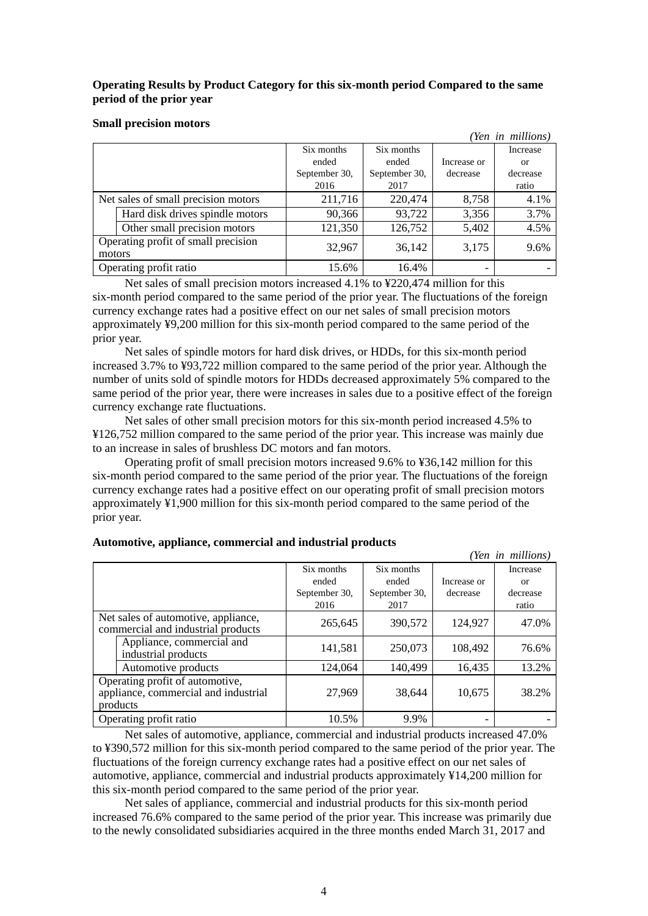### **Operating Results by Product Category for this six-month period Compared to the same period of the prior year**

### **Small precision motors**

|        |                                     |               |               |             | (Yen in millions) |
|--------|-------------------------------------|---------------|---------------|-------------|-------------------|
|        |                                     | Six months    | Six months    |             | Increase          |
|        |                                     | ended         | ended         | Increase or | <sub>or</sub>     |
|        |                                     | September 30, | September 30, | decrease    | decrease          |
|        |                                     | 2016          | 2017          |             | ratio             |
|        | Net sales of small precision motors | 211,716       | 220,474       | 8,758       | 4.1%              |
|        | Hard disk drives spindle motors     | 90,366        | 93,722        | 3,356       | 3.7%              |
|        | Other small precision motors        | 121,350       | 126,752       | 5,402       | 4.5%              |
| motors | Operating profit of small precision | 32,967        | 36,142        | 3,175       | 9.6%              |
|        | Operating profit ratio              | 15.6%         | 16.4%         |             |                   |

Net sales of small precision motors increased 4.1% to ¥220,474 million for this six-month period compared to the same period of the prior year. The fluctuations of the foreign currency exchange rates had a positive effect on our net sales of small precision motors approximately ¥9,200 million for this six-month period compared to the same period of the prior year.

Net sales of spindle motors for hard disk drives, or HDDs, for this six-month period increased 3.7% to ¥93,722 million compared to the same period of the prior year. Although the number of units sold of spindle motors for HDDs decreased approximately 5% compared to the same period of the prior year, there were increases in sales due to a positive effect of the foreign currency exchange rate fluctuations.

Net sales of other small precision motors for this six-month period increased 4.5% to ¥126,752 million compared to the same period of the prior year. This increase was mainly due to an increase in sales of brushless DC motors and fan motors.

Operating profit of small precision motors increased 9.6% to ¥36,142 million for this six-month period compared to the same period of the prior year. The fluctuations of the foreign currency exchange rates had a positive effect on our operating profit of small precision motors approximately ¥1,900 million for this six-month period compared to the same period of the prior year.

|                                                                                     |               |               |             | (Yen in millions) |
|-------------------------------------------------------------------------------------|---------------|---------------|-------------|-------------------|
|                                                                                     | Six months    | Six months    |             | Increase          |
|                                                                                     | ended         | ended         | Increase or | <sub>or</sub>     |
|                                                                                     | September 30, | September 30, | decrease    | decrease          |
|                                                                                     | 2016          | 2017          |             | ratio             |
| Net sales of automotive, appliance,<br>commercial and industrial products           | 265,645       | 390,572       | 124,927     | 47.0%             |
| Appliance, commercial and<br>industrial products                                    | 141,581       | 250,073       | 108,492     | 76.6%             |
| Automotive products                                                                 | 124,064       | 140,499       | 16,435      | 13.2%             |
| Operating profit of automotive,<br>appliance, commercial and industrial<br>products | 27,969        | 38,644        | 10,675      | 38.2%             |
| Operating profit ratio                                                              | 10.5%         | 9.9%          |             |                   |

### **Automotive, appliance, commercial and industrial products**

Net sales of automotive, appliance, commercial and industrial products increased 47.0% to ¥390,572 million for this six-month period compared to the same period of the prior year. The fluctuations of the foreign currency exchange rates had a positive effect on our net sales of automotive, appliance, commercial and industrial products approximately ¥14,200 million for this six-month period compared to the same period of the prior year.

Net sales of appliance, commercial and industrial products for this six-month period increased 76.6% compared to the same period of the prior year. This increase was primarily due to the newly consolidated subsidiaries acquired in the three months ended March 31, 2017 and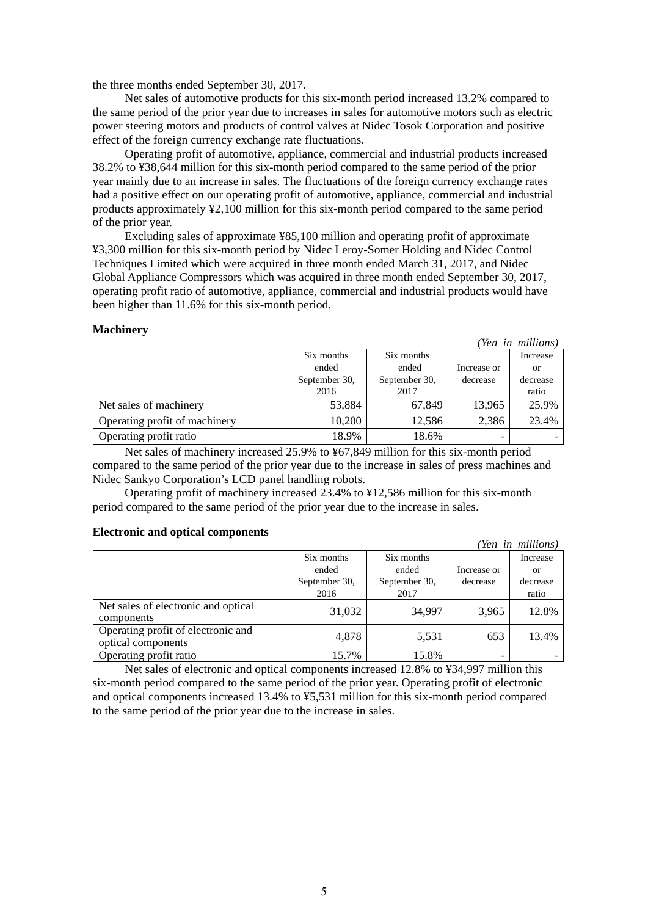the three months ended September 30, 2017.

Net sales of automotive products for this six-month period increased 13.2% compared to the same period of the prior year due to increases in sales for automotive motors such as electric power steering motors and products of control valves at Nidec Tosok Corporation and positive effect of the foreign currency exchange rate fluctuations.

Operating profit of automotive, appliance, commercial and industrial products increased 38.2% to ¥38,644 million for this six-month period compared to the same period of the prior year mainly due to an increase in sales. The fluctuations of the foreign currency exchange rates had a positive effect on our operating profit of automotive, appliance, commercial and industrial products approximately ¥2,100 million for this six-month period compared to the same period of the prior year.

Excluding sales of approximate ¥85,100 million and operating profit of approximate ¥3,300 million for this six-month period by Nidec Leroy-Somer Holding and Nidec Control Techniques Limited which were acquired in three month ended March 31, 2017, and Nidec Global Appliance Compressors which was acquired in three month ended September 30, 2017, operating profit ratio of automotive, appliance, commercial and industrial products would have been higher than 11.6% for this six-month period.

### **Machinery**

|                               |               |               |             | (Yen in millions) |
|-------------------------------|---------------|---------------|-------------|-------------------|
|                               | Six months    | Six months    |             | Increase          |
|                               | ended         | ended         | Increase or | or                |
|                               | September 30, | September 30, | decrease    | decrease          |
|                               | 2016          | 2017          |             | ratio             |
| Net sales of machinery        | 53,884        | 67,849        | 13,965      | 25.9%             |
| Operating profit of machinery | 10,200        | 12,586        | 2,386       | 23.4%             |
| Operating profit ratio        | 18.9%         | 18.6%         |             |                   |

Net sales of machinery increased 25.9% to ¥67,849 million for this six-month period compared to the same period of the prior year due to the increase in sales of press machines and Nidec Sankyo Corporation's LCD panel handling robots.

Operating profit of machinery increased 23.4% to ¥12,586 million for this six-month period compared to the same period of the prior year due to the increase in sales.

### **Electronic and optical components**

|                                                          |               |               |             | ren in muttons) |
|----------------------------------------------------------|---------------|---------------|-------------|-----------------|
|                                                          | Six months    | Six months    |             | Increase        |
|                                                          | ended         | ended         | Increase or | or              |
|                                                          | September 30, | September 30, | decrease    | decrease        |
|                                                          | 2016          | 2017          |             | ratio           |
| Net sales of electronic and optical<br>components        | 31,032        | 34,997        | 3,965       | 12.8%           |
| Operating profit of electronic and<br>optical components | 4,878         | 5,531         | 653         | 13.4%           |
| Operating profit ratio                                   | 15.7%         | 15.8%         |             |                 |

*(Yen in millions)*

Net sales of electronic and optical components increased 12.8% to ¥34,997 million this six-month period compared to the same period of the prior year. Operating profit of electronic and optical components increased 13.4% to ¥5,531 million for this six-month period compared to the same period of the prior year due to the increase in sales.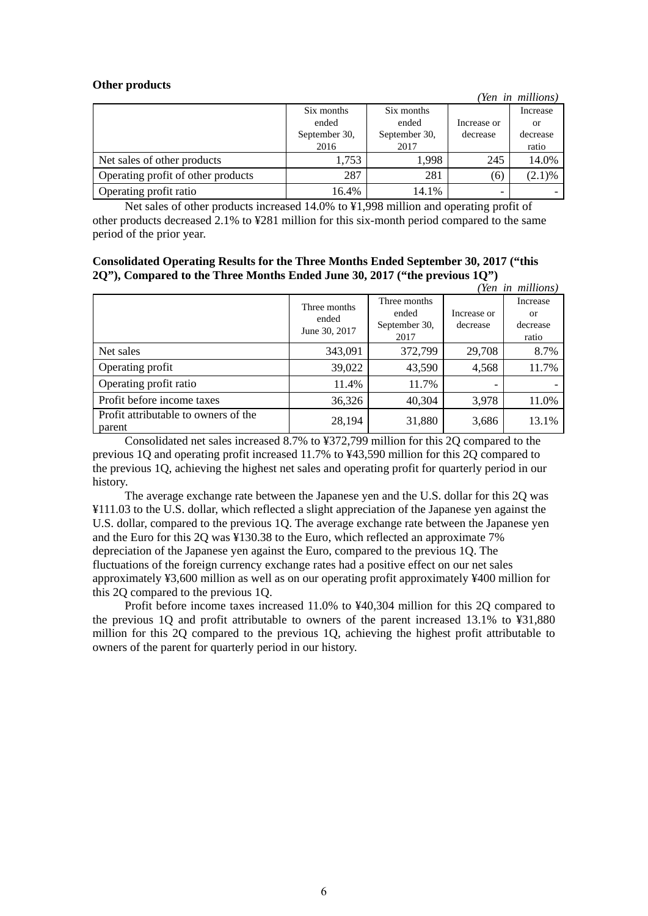### **Other products**

|                                    |               |               |             | (Yen in millions) |
|------------------------------------|---------------|---------------|-------------|-------------------|
|                                    | Six months    | Six months    |             | Increase          |
|                                    | ended         | ended         | Increase or | <b>or</b>         |
|                                    | September 30, | September 30, | decrease    | decrease          |
|                                    | 2016          | 2017          |             | ratio             |
| Net sales of other products        | 1,753         | 1.998         | 245         | 14.0%             |
| Operating profit of other products | 287           | 281           | (6)         | $(2.1)\%$         |
| Operating profit ratio             | 16.4%         | 14.1%         |             |                   |

Net sales of other products increased 14.0% to ¥1,998 million and operating profit of other products decreased 2.1% to ¥281 million for this six-month period compared to the same period of the prior year.

| <b>Consolidated Operating Results for the Three Months Ended September 30, 2017 ("this</b> |  |
|--------------------------------------------------------------------------------------------|--|
| 2Q", Compared to the Three Months Ended June 30, 2017 ("the previous 1Q")                  |  |

|                                                |                                        |                                                |                         | (Yen in millions)                          |
|------------------------------------------------|----------------------------------------|------------------------------------------------|-------------------------|--------------------------------------------|
|                                                | Three months<br>ended<br>June 30, 2017 | Three months<br>ended<br>September 30,<br>2017 | Increase or<br>decrease | Increase<br><b>or</b><br>decrease<br>ratio |
| Net sales                                      | 343,091                                | 372,799                                        | 29,708                  | 8.7%                                       |
| Operating profit                               | 39,022                                 | 43,590                                         | 4,568                   | 11.7%                                      |
| Operating profit ratio                         | 11.4%                                  | 11.7%                                          |                         |                                            |
| Profit before income taxes                     | 36,326                                 | 40,304                                         | 3,978                   | 11.0%                                      |
| Profit attributable to owners of the<br>parent | 28,194                                 | 31,880                                         | 3,686                   | 13.1%                                      |

Consolidated net sales increased 8.7% to ¥372,799 million for this 2Q compared to the previous 1Q and operating profit increased 11.7% to ¥43,590 million for this 2Q compared to the previous 1Q, achieving the highest net sales and operating profit for quarterly period in our history.

The average exchange rate between the Japanese yen and the U.S. dollar for this 2Q was ¥111.03 to the U.S. dollar, which reflected a slight appreciation of the Japanese yen against the U.S. dollar, compared to the previous 1Q. The average exchange rate between the Japanese yen and the Euro for this 2Q was ¥130.38 to the Euro, which reflected an approximate 7% depreciation of the Japanese yen against the Euro, compared to the previous 1Q. The fluctuations of the foreign currency exchange rates had a positive effect on our net sales approximately ¥3,600 million as well as on our operating profit approximately ¥400 million for this 2Q compared to the previous 1Q.

Profit before income taxes increased 11.0% to ¥40,304 million for this 2Q compared to the previous 1Q and profit attributable to owners of the parent increased 13.1% to ¥31,880 million for this 2Q compared to the previous 1Q, achieving the highest profit attributable to owners of the parent for quarterly period in our history.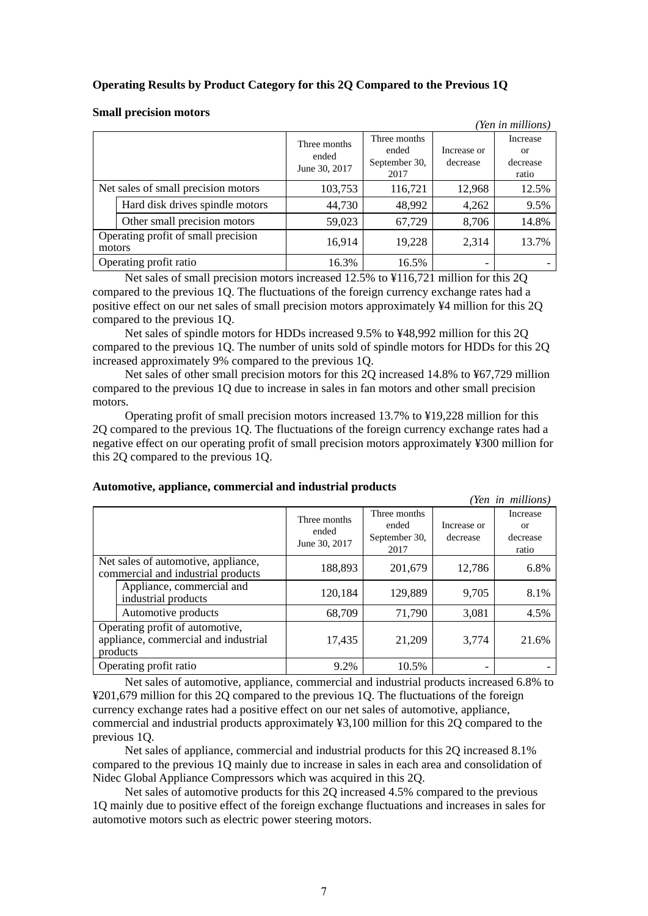### **Operating Results by Product Category for this 2Q Compared to the Previous 1Q**

#### *(Yen in millions)*  Three months ended June 30, 2017 Three months ended September 30, 2017 Increase or decrease Increase or decrease ratio Net sales of small precision motors  $103,753$  116,721 12,968 12.5% Hard disk drives spindle motors  $\begin{vmatrix} 44.730 & 48.992 & 4.262 \end{vmatrix}$  9.5% Other small precision motors  $\begin{array}{|l} \hline \end{array}$  59,023 67,729 8,706 14.8% Operating profit of small precision operating profit of small precision<br>motors 16,914 19,228 2,314 13.7% Operating profit ratio 16.3% 16.5%

### **Small precision motors**

Net sales of small precision motors increased 12.5% to ¥116,721 million for this 2Q compared to the previous 1Q. The fluctuations of the foreign currency exchange rates had a positive effect on our net sales of small precision motors approximately ¥4 million for this 2Q compared to the previous 1Q.

Net sales of spindle motors for HDDs increased 9.5% to ¥48,992 million for this 2Q compared to the previous 1Q. The number of units sold of spindle motors for HDDs for this 2Q increased approximately 9% compared to the previous 1Q.

Net sales of other small precision motors for this 2Q increased 14.8% to ¥67,729 million compared to the previous 1Q due to increase in sales in fan motors and other small precision motors.

Operating profit of small precision motors increased 13.7% to ¥19,228 million for this 2Q compared to the previous 1Q. The fluctuations of the foreign currency exchange rates had a negative effect on our operating profit of small precision motors approximately ¥300 million for this 2Q compared to the previous 1Q.

|                                                                           |                                                                                     |                                        |                                                |                         | (Yen in millions)                         |
|---------------------------------------------------------------------------|-------------------------------------------------------------------------------------|----------------------------------------|------------------------------------------------|-------------------------|-------------------------------------------|
|                                                                           |                                                                                     | Three months<br>ended<br>June 30, 2017 | Three months<br>ended<br>September 30,<br>2017 | Increase or<br>decrease | Increase<br>$\alpha$<br>decrease<br>ratio |
| Net sales of automotive, appliance,<br>commercial and industrial products |                                                                                     | 188,893                                | 201,679                                        | 12,786                  | 6.8%                                      |
|                                                                           | Appliance, commercial and<br>industrial products                                    | 120,184                                | 129,889                                        | 9,705                   | 8.1%                                      |
|                                                                           | Automotive products                                                                 | 68,709                                 | 71,790                                         | 3,081                   | 4.5%                                      |
|                                                                           | Operating profit of automotive,<br>appliance, commercial and industrial<br>products | 17,435                                 | 21,209                                         | 3,774                   | 21.6%                                     |
|                                                                           | Operating profit ratio                                                              | 9.2%                                   | 10.5%                                          |                         |                                           |

### **Automotive, appliance, commercial and industrial products**

Net sales of automotive, appliance, commercial and industrial products increased 6.8% to ¥201,679 million for this 2Q compared to the previous 1Q. The fluctuations of the foreign currency exchange rates had a positive effect on our net sales of automotive, appliance, commercial and industrial products approximately ¥3,100 million for this 2Q compared to the previous 1Q.

Net sales of appliance, commercial and industrial products for this 2Q increased 8.1% compared to the previous 1Q mainly due to increase in sales in each area and consolidation of Nidec Global Appliance Compressors which was acquired in this 2Q.

Net sales of automotive products for this 2Q increased 4.5% compared to the previous 1Q mainly due to positive effect of the foreign exchange fluctuations and increases in sales for automotive motors such as electric power steering motors.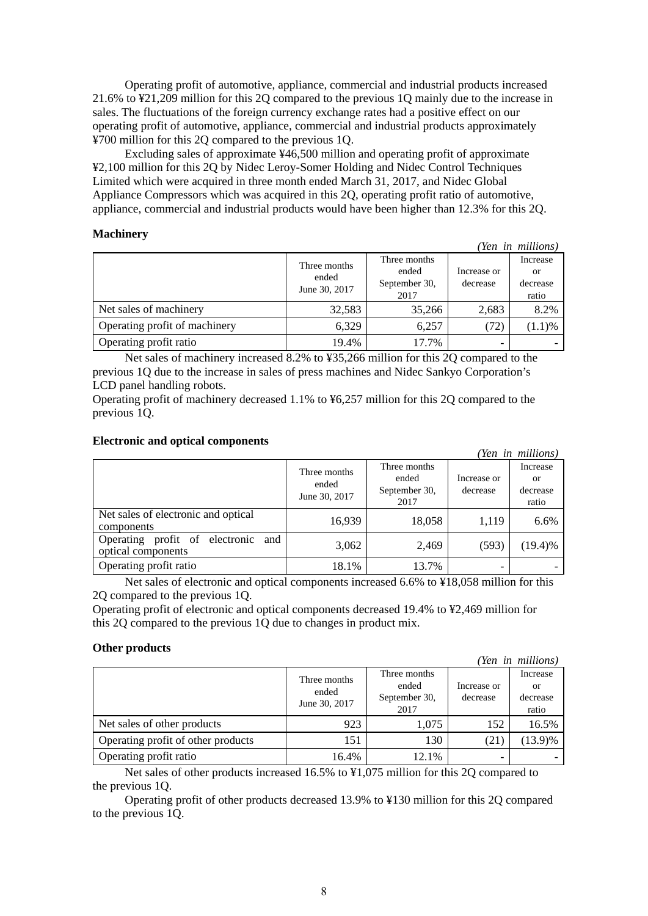Operating profit of automotive, appliance, commercial and industrial products increased 21.6% to ¥21,209 million for this 2Q compared to the previous 1Q mainly due to the increase in sales. The fluctuations of the foreign currency exchange rates had a positive effect on our operating profit of automotive, appliance, commercial and industrial products approximately ¥700 million for this 2Q compared to the previous 1Q.

Excluding sales of approximate ¥46,500 million and operating profit of approximate ¥2,100 million for this 2Q by Nidec Leroy-Somer Holding and Nidec Control Techniques Limited which were acquired in three month ended March 31, 2017, and Nidec Global Appliance Compressors which was acquired in this 2Q, operating profit ratio of automotive, appliance, commercial and industrial products would have been higher than 12.3% for this 2Q.

### **Machinery**

|                               |                                        |                                                |                         | (Yen in millions)                   |
|-------------------------------|----------------------------------------|------------------------------------------------|-------------------------|-------------------------------------|
|                               | Three months<br>ended<br>June 30, 2017 | Three months<br>ended<br>September 30,<br>2017 | Increase or<br>decrease | Increase<br>or<br>decrease<br>ratio |
| Net sales of machinery        | 32,583                                 | 35,266                                         | 2,683                   | 8.2%                                |
| Operating profit of machinery | 6,329                                  | 6,257                                          | (72)                    | (1.1)%                              |
| Operating profit ratio        | 19.4%                                  | 17.7%                                          |                         |                                     |

Net sales of machinery increased 8.2% to ¥35,266 million for this 2Q compared to the previous 1Q due to the increase in sales of press machines and Nidec Sankyo Corporation's LCD panel handling robots.

Operating profit of machinery decreased 1.1% to ¥6,257 million for this 2Q compared to the previous 1Q.

### **Electronic and optical components**

|                                                             |                                        |                                                |                         | (Yen in millions)                   |
|-------------------------------------------------------------|----------------------------------------|------------------------------------------------|-------------------------|-------------------------------------|
|                                                             | Three months<br>ended<br>June 30, 2017 | Three months<br>ended<br>September 30,<br>2017 | Increase or<br>decrease | Increase<br>or<br>decrease<br>ratio |
| Net sales of electronic and optical<br>components           | 16,939                                 | 18,058                                         | 1,119                   | 6.6%                                |
| Operating profit of electronic<br>and<br>optical components | 3,062                                  | 2,469                                          | (593)                   | $(19.4)\%$                          |
| Operating profit ratio                                      | 18.1%                                  | 13.7%                                          |                         |                                     |

Net sales of electronic and optical components increased 6.6% to ¥18,058 million for this 2Q compared to the previous 1Q.

Operating profit of electronic and optical components decreased 19.4% to ¥2,469 million for this 2Q compared to the previous 1Q due to changes in product mix.

### **Other products**

|                                    |                                        |                                                |                         | (Yen in millions)                   |
|------------------------------------|----------------------------------------|------------------------------------------------|-------------------------|-------------------------------------|
|                                    | Three months<br>ended<br>June 30, 2017 | Three months<br>ended<br>September 30,<br>2017 | Increase or<br>decrease | Increase<br>or<br>decrease<br>ratio |
| Net sales of other products        | 923                                    | 1.075                                          | 152                     | 16.5%                               |
| Operating profit of other products | 151                                    | 130                                            | (21)                    | $(13.9)\%$                          |
| Operating profit ratio             | 16.4%                                  | 12.1%                                          |                         |                                     |

Net sales of other products increased 16.5% to ¥1,075 million for this 2Q compared to the previous 1Q.

Operating profit of other products decreased 13.9% to ¥130 million for this 2Q compared to the previous 1Q.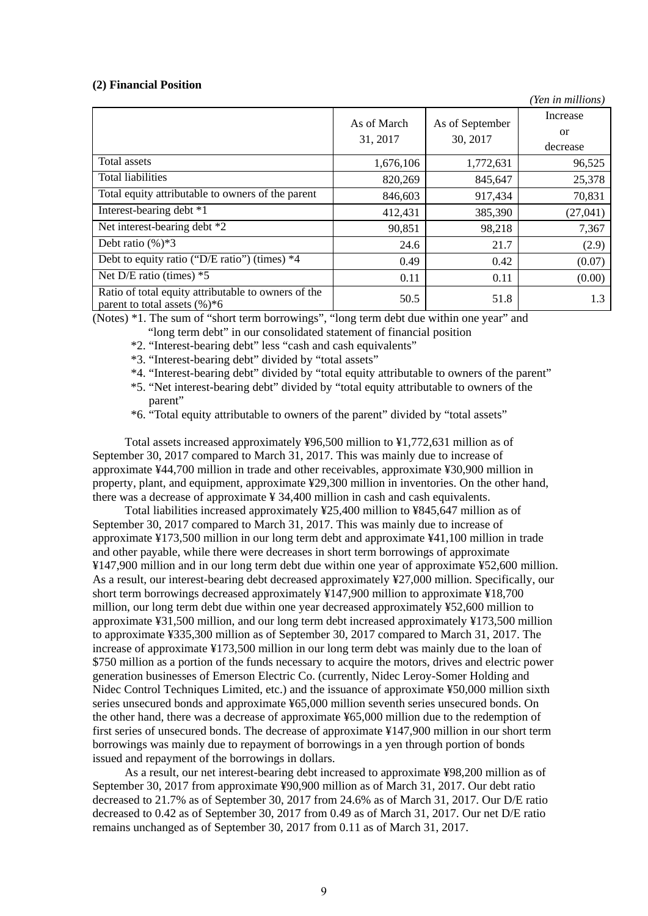### **(2) Financial Position**

|                                                                                        |             |                             | (Yen in millions) |
|----------------------------------------------------------------------------------------|-------------|-----------------------------|-------------------|
|                                                                                        | As of March |                             | Increase          |
|                                                                                        |             | As of September<br>30, 2017 | <sub>or</sub>     |
|                                                                                        | 31, 2017    |                             | decrease          |
| Total assets                                                                           | 1,676,106   | 1,772,631                   | 96,525            |
| <b>Total liabilities</b>                                                               | 820,269     | 845,647                     | 25,378            |
| Total equity attributable to owners of the parent                                      | 846,603     | 917,434                     | 70,831            |
| Interest-bearing debt *1                                                               | 412,431     | 385,390                     | (27, 041)         |
| Net interest-bearing debt *2                                                           | 90,851      | 98,218                      | 7,367             |
| Debt ratio $(\%)*3$                                                                    | 24.6        | 21.7                        | (2.9)             |
| Debt to equity ratio ("D/E ratio") (times) *4                                          | 0.49        | 0.42                        | (0.07)            |
| Net $D/E$ ratio (times) $*5$                                                           | 0.11        | 0.11                        | (0.00)            |
| Ratio of total equity attributable to owners of the<br>parent to total assets $(\%)*6$ | 50.5        | 51.8                        | 1.3               |

(Notes) \*1. The sum of "short term borrowings", "long term debt due within one year" and

- "long term debt" in our consolidated statement of financial position
- \*2. "Interest-bearing debt" less "cash and cash equivalents"
- \*3. "Interest-bearing debt" divided by "total assets"
- \*4. "Interest-bearing debt" divided by "total equity attributable to owners of the parent"
- \*5. "Net interest-bearing debt" divided by "total equity attributable to owners of the parent"
- \*6. "Total equity attributable to owners of the parent" divided by "total assets"

Total assets increased approximately ¥96,500 million to ¥1,772,631 million as of September 30, 2017 compared to March 31, 2017. This was mainly due to increase of approximate ¥44,700 million in trade and other receivables, approximate ¥30,900 million in property, plant, and equipment, approximate ¥29,300 million in inventories. On the other hand, there was a decrease of approximate ¥ 34,400 million in cash and cash equivalents.

Total liabilities increased approximately ¥25,400 million to ¥845,647 million as of September 30, 2017 compared to March 31, 2017. This was mainly due to increase of approximate ¥173,500 million in our long term debt and approximate ¥41,100 million in trade and other payable, while there were decreases in short term borrowings of approximate ¥147,900 million and in our long term debt due within one year of approximate ¥52,600 million. As a result, our interest-bearing debt decreased approximately ¥27,000 million. Specifically, our short term borrowings decreased approximately ¥147,900 million to approximate ¥18,700 million, our long term debt due within one year decreased approximately ¥52,600 million to approximate ¥31,500 million, and our long term debt increased approximately ¥173,500 million to approximate ¥335,300 million as of September 30, 2017 compared to March 31, 2017. The increase of approximate ¥173,500 million in our long term debt was mainly due to the loan of \$750 million as a portion of the funds necessary to acquire the motors, drives and electric power generation businesses of Emerson Electric Co. (currently, Nidec Leroy-Somer Holding and Nidec Control Techniques Limited, etc.) and the issuance of approximate ¥50,000 million sixth series unsecured bonds and approximate ¥65,000 million seventh series unsecured bonds. On the other hand, there was a decrease of approximate ¥65,000 million due to the redemption of first series of unsecured bonds. The decrease of approximate ¥147,900 million in our short term borrowings was mainly due to repayment of borrowings in a yen through portion of bonds issued and repayment of the borrowings in dollars.

As a result, our net interest-bearing debt increased to approximate ¥98,200 million as of September 30, 2017 from approximate ¥90,900 million as of March 31, 2017. Our debt ratio decreased to 21.7% as of September 30, 2017 from 24.6% as of March 31, 2017. Our D/E ratio decreased to 0.42 as of September 30, 2017 from 0.49 as of March 31, 2017. Our net D/E ratio remains unchanged as of September 30, 2017 from 0.11 as of March 31, 2017.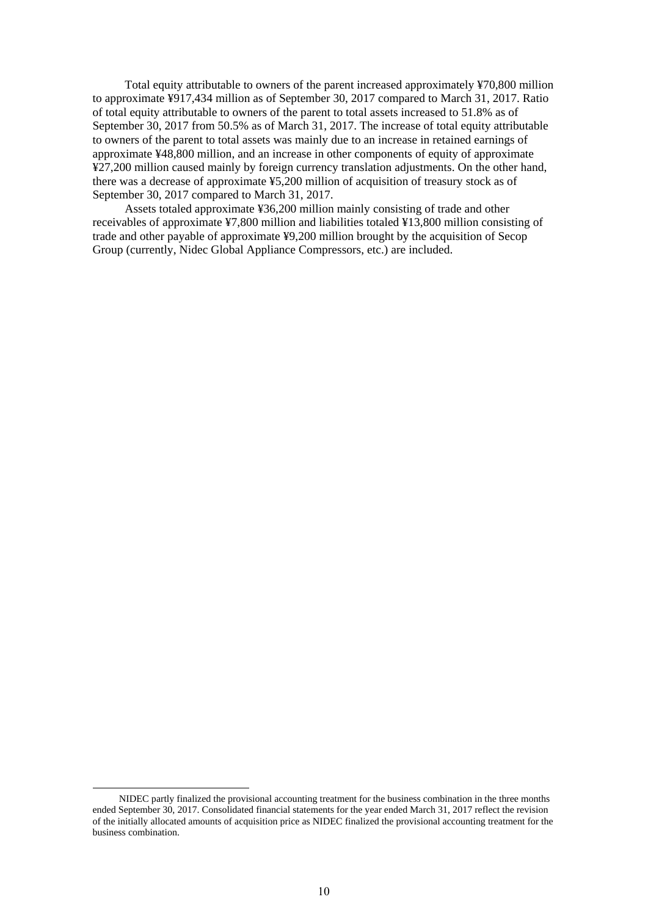Total equity attributable to owners of the parent increased approximately ¥70,800 million to approximate ¥917,434 million as of September 30, 2017 compared to March 31, 2017. Ratio of total equity attributable to owners of the parent to total assets increased to 51.8% as of September 30, 2017 from 50.5% as of March 31, 2017. The increase of total equity attributable to owners of the parent to total assets was mainly due to an increase in retained earnings of approximate ¥48,800 million, and an increase in other components of equity of approximate ¥27,200 million caused mainly by foreign currency translation adjustments. On the other hand, there was a decrease of approximate ¥5,200 million of acquisition of treasury stock as of September 30, 2017 compared to March 31, 2017.

Assets totaled approximate ¥36,200 million mainly consisting of trade and other receivables of approximate ¥7,800 million and liabilities totaled ¥13,800 million consisting of trade and other payable of approximate ¥9,200 million brought by the acquisition of Secop Group (currently, Nidec Global Appliance Compressors, etc.) are included.

NIDEC partly finalized the provisional accounting treatment for the business combination in the three months ended September 30, 2017. Consolidated financial statements for the year ended March 31, 2017 reflect the revision of the initially allocated amounts of acquisition price as NIDEC finalized the provisional accounting treatment for the business combination.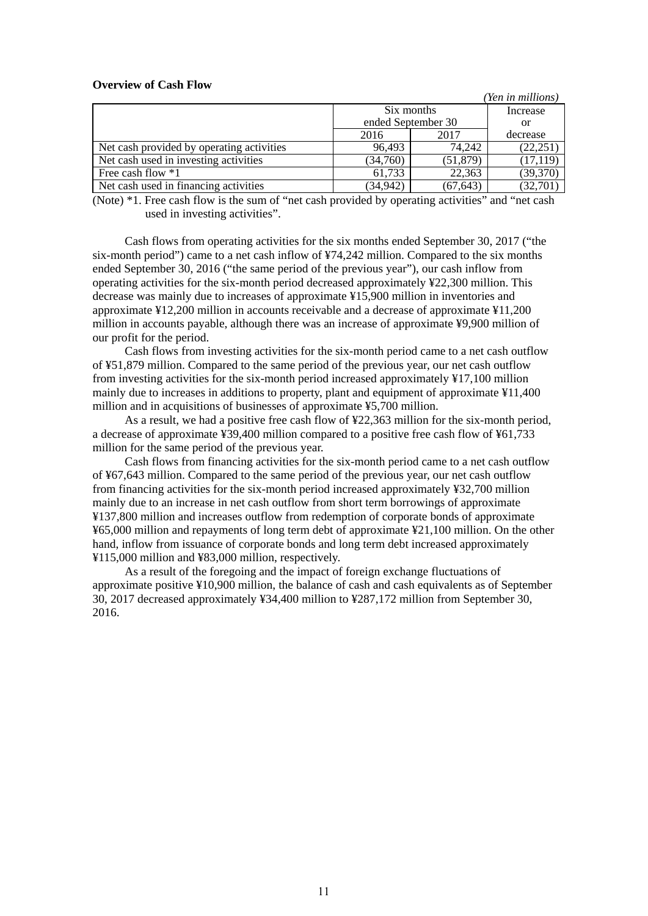### **Overview of Cash Flow**

|                                           |                    |           | (Yen in millions) |
|-------------------------------------------|--------------------|-----------|-------------------|
|                                           | Six months         | Increase  |                   |
|                                           | ended September 30 | or        |                   |
|                                           | 2016               | 2017      | decrease          |
| Net cash provided by operating activities | 96.493             | 74.242    | (22, 251)         |
| Net cash used in investing activities     | (34,760)           | (51, 879) | (17, 119)         |
| Free cash flow *1                         | 61,733             | 22,363    | (39,370)          |
| Net cash used in financing activities     | (34, 942)          | (67, 643) | (32, 701)         |

(Note) \*1. Free cash flow is the sum of "net cash provided by operating activities" and "net cash used in investing activities".

Cash flows from operating activities for the six months ended September 30, 2017 ("the six-month period") came to a net cash inflow of ¥74,242 million. Compared to the six months ended September 30, 2016 ("the same period of the previous year"), our cash inflow from operating activities for the six-month period decreased approximately ¥22,300 million. This decrease was mainly due to increases of approximate ¥15,900 million in inventories and approximate ¥12,200 million in accounts receivable and a decrease of approximate ¥11,200 million in accounts payable, although there was an increase of approximate ¥9,900 million of our profit for the period.

Cash flows from investing activities for the six-month period came to a net cash outflow of ¥51,879 million. Compared to the same period of the previous year, our net cash outflow from investing activities for the six-month period increased approximately ¥17,100 million mainly due to increases in additions to property, plant and equipment of approximate ¥11,400 million and in acquisitions of businesses of approximate ¥5,700 million.

As a result, we had a positive free cash flow of ¥22,363 million for the six-month period, a decrease of approximate ¥39,400 million compared to a positive free cash flow of ¥61,733 million for the same period of the previous year.

Cash flows from financing activities for the six-month period came to a net cash outflow of ¥67,643 million. Compared to the same period of the previous year, our net cash outflow from financing activities for the six-month period increased approximately ¥32,700 million mainly due to an increase in net cash outflow from short term borrowings of approximate ¥137,800 million and increases outflow from redemption of corporate bonds of approximate ¥65,000 million and repayments of long term debt of approximate ¥21,100 million. On the other hand, inflow from issuance of corporate bonds and long term debt increased approximately ¥115,000 million and ¥83,000 million, respectively.

As a result of the foregoing and the impact of foreign exchange fluctuations of approximate positive ¥10,900 million, the balance of cash and cash equivalents as of September 30, 2017 decreased approximately ¥34,400 million to ¥287,172 million from September 30, 2016.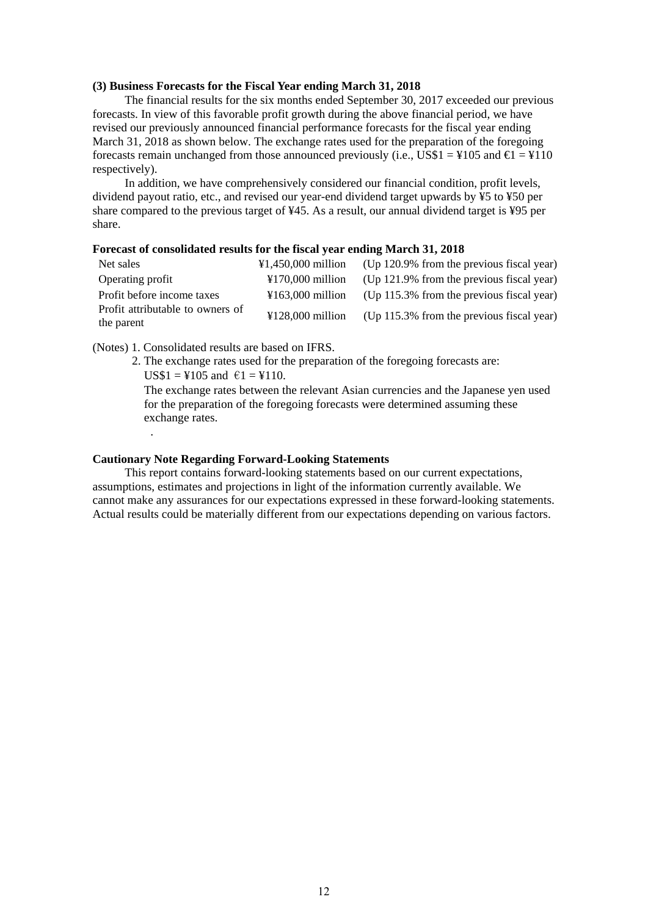### **(3) Business Forecasts for the Fiscal Year ending March 31, 2018**

The financial results for the six months ended September 30, 2017 exceeded our previous forecasts. In view of this favorable profit growth during the above financial period, we have revised our previously announced financial performance forecasts for the fiscal year ending March 31, 2018 as shown below. The exchange rates used for the preparation of the foregoing forecasts remain unchanged from those announced previously (i.e., US\$1 = ¥105 and  $\epsilon$ 1 = ¥110 respectively).

In addition, we have comprehensively considered our financial condition, profit levels, dividend payout ratio, etc., and revised our year-end dividend target upwards by ¥5 to ¥50 per share compared to the previous target of ¥45. As a result, our annual dividend target is ¥95 per share.

### **Forecast of consolidated results for the fiscal year ending March 31, 2018**

| Net sales                                      | ¥1,450,000 million                    | (Up 120.9% from the previous fiscal year)    |
|------------------------------------------------|---------------------------------------|----------------------------------------------|
| Operating profit                               | $\text{\textsterling}170.000$ million | (Up $121.9\%$ from the previous fiscal year) |
| Profit before income taxes                     | $\text{\textsterling}163.000$ million | (Up 115.3% from the previous fiscal year)    |
| Profit attributable to owners of<br>the parent | $¥128,000$ million                    | (Up 115.3% from the previous fiscal year)    |

(Notes) 1. Consolidated results are based on IFRS.

2. The exchange rates used for the preparation of the foregoing forecasts are:

 $US$1 = $105$  and  $€1 = $110$ .

.

The exchange rates between the relevant Asian currencies and the Japanese yen used for the preparation of the foregoing forecasts were determined assuming these exchange rates.

### **Cautionary Note Regarding Forward-Looking Statements**

This report contains forward-looking statements based on our current expectations, assumptions, estimates and projections in light of the information currently available. We cannot make any assurances for our expectations expressed in these forward-looking statements. Actual results could be materially different from our expectations depending on various factors.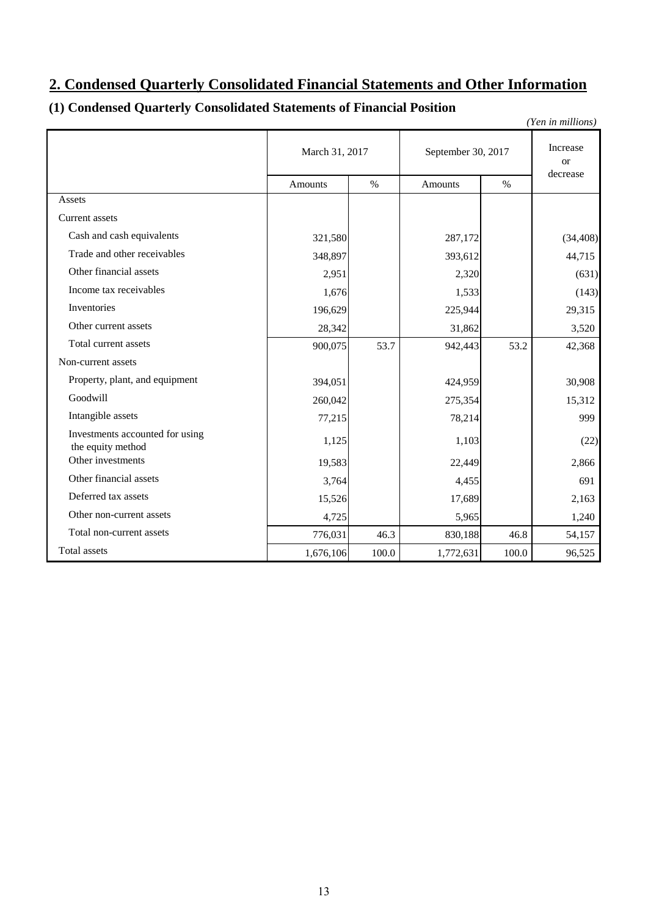# **2. Condensed Quarterly Consolidated Financial Statements and Other Information**

# **(1) Condensed Quarterly Consolidated Statements of Financial Position**

| (Yen in millions)                                    |                |       |                    |                           |           |  |  |  |
|------------------------------------------------------|----------------|-------|--------------------|---------------------------|-----------|--|--|--|
|                                                      | March 31, 2017 |       | September 30, 2017 | Increase<br><sub>or</sub> |           |  |  |  |
|                                                      | <b>Amounts</b> | $\%$  | <b>Amounts</b>     | decrease                  |           |  |  |  |
| Assets                                               |                |       |                    |                           |           |  |  |  |
| <b>Current</b> assets                                |                |       |                    |                           |           |  |  |  |
| Cash and cash equivalents                            | 321,580        |       | 287,172            |                           | (34, 408) |  |  |  |
| Trade and other receivables                          | 348,897        |       | 393,612            |                           | 44,715    |  |  |  |
| Other financial assets                               | 2,951          |       | 2,320              |                           | (631)     |  |  |  |
| Income tax receivables                               | 1,676          |       | 1,533              |                           | (143)     |  |  |  |
| Inventories                                          | 196,629        |       | 225,944            |                           | 29,315    |  |  |  |
| Other current assets                                 | 28,342         |       | 31,862             |                           | 3,520     |  |  |  |
| Total current assets                                 | 900,075        | 53.7  | 942,443            | 53.2                      | 42,368    |  |  |  |
| Non-current assets                                   |                |       |                    |                           |           |  |  |  |
| Property, plant, and equipment                       | 394,051        |       | 424,959            |                           | 30,908    |  |  |  |
| Goodwill                                             | 260,042        |       | 275,354            |                           | 15,312    |  |  |  |
| Intangible assets                                    | 77,215         |       | 78,214             |                           | 999       |  |  |  |
| Investments accounted for using<br>the equity method | 1,125          |       | 1,103              |                           | (22)      |  |  |  |
| Other investments                                    | 19,583         |       | 22,449             |                           | 2,866     |  |  |  |
| Other financial assets                               | 3,764          |       | 4,455              |                           | 691       |  |  |  |
| Deferred tax assets                                  | 15,526         |       | 17,689             |                           | 2,163     |  |  |  |
| Other non-current assets                             | 4,725          |       | 5,965              |                           | 1,240     |  |  |  |
| Total non-current assets                             | 776,031        | 46.3  | 830,188            | 46.8                      | 54,157    |  |  |  |
| Total assets                                         | 1,676,106      | 100.0 | 1,772,631          | 100.0                     | 96,525    |  |  |  |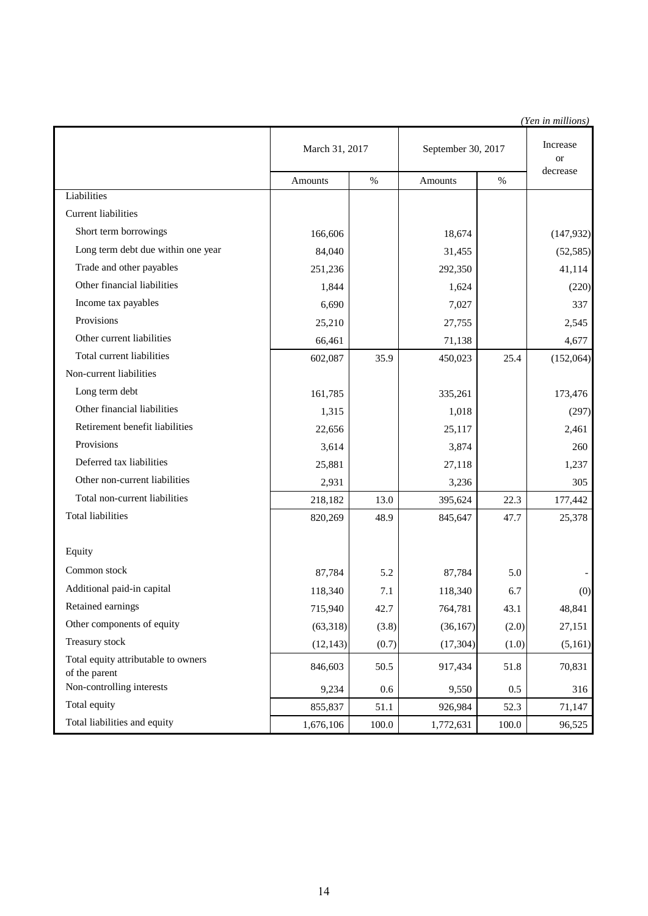|                                                      |                |       |                    |       | (Yen in millions)     |
|------------------------------------------------------|----------------|-------|--------------------|-------|-----------------------|
|                                                      | March 31, 2017 |       | September 30, 2017 |       | Increase<br><b>or</b> |
|                                                      | Amounts        | $\%$  | Amounts            | $\%$  | decrease              |
| Liabilities                                          |                |       |                    |       |                       |
| <b>Current liabilities</b>                           |                |       |                    |       |                       |
| Short term borrowings                                | 166,606        |       | 18,674             |       | (147, 932)            |
| Long term debt due within one year                   | 84,040         |       | 31,455             |       | (52, 585)             |
| Trade and other payables                             | 251,236        |       | 292,350            |       | 41,114                |
| Other financial liabilities                          | 1,844          |       | 1,624              |       | (220)                 |
| Income tax payables                                  | 6,690          |       | 7,027              |       | 337                   |
| Provisions                                           | 25,210         |       | 27,755             |       | 2,545                 |
| Other current liabilities                            | 66,461         |       | 71,138             |       | 4,677                 |
| Total current liabilities                            | 602,087        | 35.9  | 450,023            | 25.4  | (152,064)             |
| Non-current liabilities                              |                |       |                    |       |                       |
| Long term debt                                       | 161,785        |       | 335,261            |       | 173,476               |
| Other financial liabilities                          | 1,315          |       | 1,018              |       | (297)                 |
| Retirement benefit liabilities                       | 22,656         |       | 25,117             |       | 2,461                 |
| Provisions                                           | 3,614          |       | 3,874              |       | 260                   |
| Deferred tax liabilities                             | 25,881         |       | 27,118             |       | 1,237                 |
| Other non-current liabilities                        | 2,931          |       | 3,236              |       | 305                   |
| Total non-current liabilities                        | 218,182        | 13.0  | 395,624            | 22.3  | 177,442               |
| <b>Total liabilities</b>                             | 820,269        | 48.9  | 845,647            | 47.7  | 25,378                |
|                                                      |                |       |                    |       |                       |
| Equity                                               |                |       |                    |       |                       |
| Common stock                                         | 87,784         | 5.2   | 87,784             | 5.0   |                       |
| Additional paid-in capital                           | 118,340        | 7.1   | 118,340            | 6.7   | (0)                   |
| Retained earnings                                    | 715,940        | 42.7  | 764,781            | 43.1  | 48,841                |
| Other components of equity                           | (63,318)       | (3.8) | (36, 167)          | (2.0) | 27,151                |
| Treasury stock                                       | (12, 143)      | (0.7) | (17, 304)          | (1.0) | (5,161)               |
| Total equity attributable to owners<br>of the parent | 846,603        | 50.5  | 917,434            | 51.8  | 70,831                |
| Non-controlling interests                            | 9,234          | 0.6   | 9,550              | 0.5   | 316                   |
| Total equity                                         | 855,837        | 51.1  | 926,984            | 52.3  | 71,147                |
| Total liabilities and equity                         | 1,676,106      | 100.0 | 1,772,631          | 100.0 | 96,525                |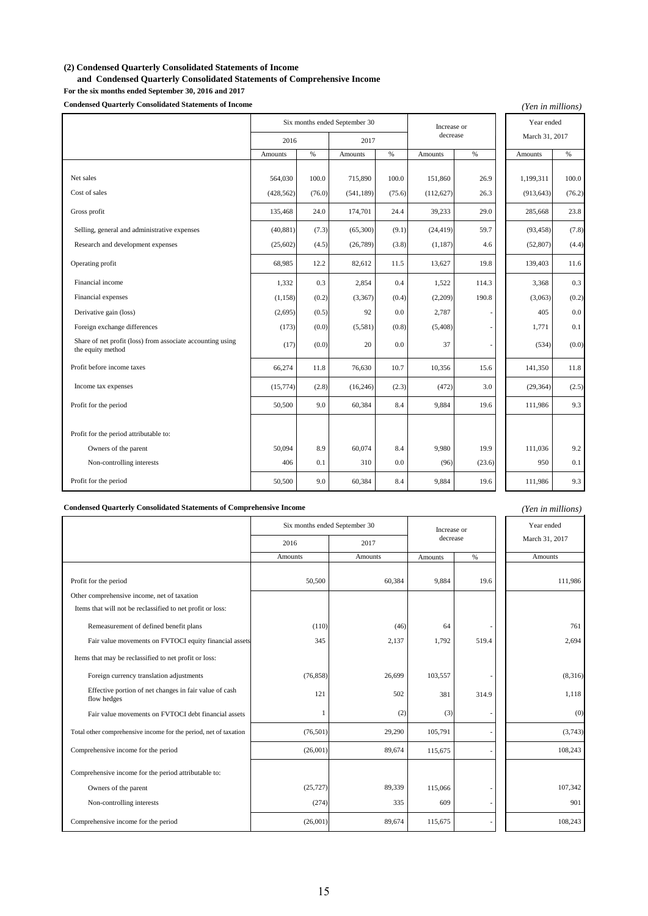### **(2) Condensed Quarterly Consolidated Statements of Income**

 **and Condensed Quarterly Consolidated Statements of Comprehensive Income**

**For the six months ended September 30, 2016 and 2017 Condensed Quarterly Consolidated Statements of Income**

| <b>Condensed Quarterly Consolidated Statements of Income</b><br>(Yen in millions) |            |                  |                               |        |                |        |            |        |
|-----------------------------------------------------------------------------------|------------|------------------|-------------------------------|--------|----------------|--------|------------|--------|
|                                                                                   |            |                  | Six months ended September 30 |        | Increase or    |        | Year ended |        |
|                                                                                   | 2016       | decrease<br>2017 |                               |        | March 31, 2017 |        |            |        |
|                                                                                   | Amounts    | $\%$             | <b>Amounts</b>                | %      | Amounts        | $\%$   | Amounts    | $\%$   |
| Net sales                                                                         | 564,030    | 100.0            | 715,890                       | 100.0  | 151,860        | 26.9   | 1,199,311  | 100.0  |
| Cost of sales                                                                     | (428, 562) | (76.0)           | (541, 189)                    | (75.6) | (112, 627)     | 26.3   | (913, 643) | (76.2) |
| Gross profit                                                                      | 135,468    | 24.0             | 174,701                       | 24.4   | 39,233         | 29.0   | 285,668    | 23.8   |
| Selling, general and administrative expenses                                      | (40, 881)  | (7.3)            | (65,300)                      | (9.1)  | (24, 419)      | 59.7   | (93, 458)  | (7.8)  |
| Research and development expenses                                                 | (25,602)   | (4.5)            | (26,789)                      | (3.8)  | (1, 187)       | 4.6    | (52, 807)  | (4.4)  |
| Operating profit                                                                  | 68,985     | 12.2             | 82,612                        | 11.5   | 13,627         | 19.8   | 139,403    | 11.6   |
| Financial income                                                                  | 1,332      | 0.3              | 2,854                         | 0.4    | 1,522          | 114.3  | 3,368      | 0.3    |
| Financial expenses                                                                | (1, 158)   | (0.2)            | (3,367)                       | (0.4)  | (2,209)        | 190.8  | (3,063)    | (0.2)  |
| Derivative gain (loss)                                                            | (2,695)    | (0.5)            | 92                            | 0.0    | 2,787          |        | 405        | 0.0    |
| Foreign exchange differences                                                      | (173)      | (0.0)            | (5,581)                       | (0.8)  | (5,408)        |        | 1,771      | 0.1    |
| Share of net profit (loss) from associate accounting using<br>the equity method   | (17)       | (0.0)            | 20                            | 0.0    | 37             |        | (534)      | (0.0)  |
| Profit before income taxes                                                        | 66,274     | 11.8             | 76,630                        | 10.7   | 10,356         | 15.6   | 141,350    | 11.8   |
| Income tax expenses                                                               | (15, 774)  | (2.8)            | (16, 246)                     | (2.3)  | (472)          | 3.0    | (29, 364)  | (2.5)  |
| Profit for the period                                                             | 50,500     | 9.0              | 60,384                        | 8.4    | 9,884          | 19.6   | 111,986    | 9.3    |
| Profit for the period attributable to:                                            |            |                  |                               |        |                |        |            |        |
| Owners of the parent                                                              | 50,094     | 8.9              | 60.074                        | 8.4    | 9.980          | 19.9   | 111.036    | 9.2    |
| Non-controlling interests                                                         | 406        | 0.1              | 310                           | 0.0    | (96)           | (23.6) | 950        | 0.1    |
| Profit for the period                                                             | 50,500     | 9.0              | 60,384                        | 8.4    | 9,884          | 19.6   | 111,986    | 9.3    |

**Condensed Quarterly Consolidated Statements of Comprehensive Income**

|                                                                       | Six months ended September 30 | Increase or |          | Year ended |                |
|-----------------------------------------------------------------------|-------------------------------|-------------|----------|------------|----------------|
|                                                                       | 2016                          | 2017        | decrease |            | March 31, 2017 |
|                                                                       | Amounts                       | Amounts     | Amounts  | $\%$       | Amounts        |
|                                                                       |                               |             |          |            |                |
| Profit for the period                                                 | 50,500                        | 60,384      | 9.884    | 19.6       | 111,986        |
| Other comprehensive income, net of taxation                           |                               |             |          |            |                |
| Items that will not be reclassified to net profit or loss:            |                               |             |          |            |                |
| Remeasurement of defined benefit plans                                | (110)                         | (46)        | 64       |            | 761            |
| Fair value movements on FVTOCI equity financial assets                | 345                           | 2,137       | 1,792    | 519.4      | 2,694          |
| Items that may be reclassified to net profit or loss:                 |                               |             |          |            |                |
| Foreign currency translation adjustments                              | (76, 858)                     | 26,699      | 103,557  |            | (8,316)        |
| Effective portion of net changes in fair value of cash<br>flow hedges | 121                           | 502         | 381      | 314.9      | 1,118          |
| Fair value movements on FVTOCI debt financial assets                  | 1                             | (2)         | (3)      |            | (0)            |
| Total other comprehensive income for the period, net of taxation      | (76, 501)                     | 29,290      | 105,791  |            | (3,743)        |
| Comprehensive income for the period                                   | (26,001)                      | 89,674      | 115,675  |            | 108,243        |
| Comprehensive income for the period attributable to:                  |                               |             |          |            |                |
| Owners of the parent                                                  | (25, 727)                     | 89,339      | 115,066  |            | 107,342        |
| Non-controlling interests                                             | (274)                         | 335         | 609      |            | 901            |
| Comprehensive income for the period                                   | (26,001)                      | 89,674      | 115,675  |            | 108,243        |

*(Yen in millions)*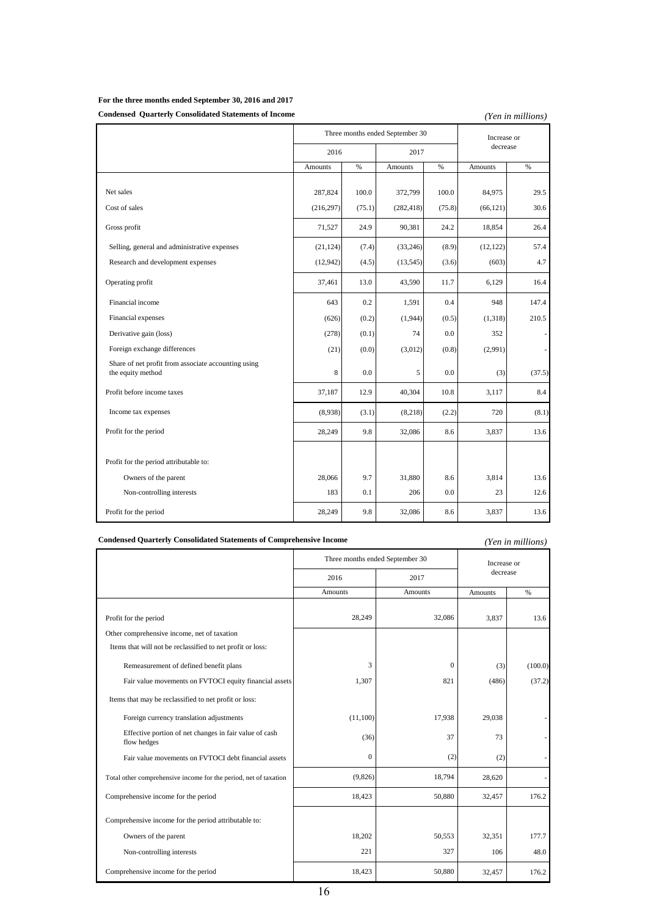## **For the three months ended September 30, 2016 and 2017**

### **Condensed Quarterly Consolidated Statements of Income**

*(Yen in millions)*

|                                                                          |            |        | Three months ended September 30 |        | Increase or |                          |
|--------------------------------------------------------------------------|------------|--------|---------------------------------|--------|-------------|--------------------------|
|                                                                          | 2016       |        | 2017                            |        | decrease    |                          |
|                                                                          | Amounts    | $\%$   | Amounts                         | $\%$   | Amounts     | $\%$                     |
|                                                                          |            |        |                                 |        |             |                          |
| Net sales                                                                | 287,824    | 100.0  | 372,799                         | 100.0  | 84,975      | 29.5                     |
| Cost of sales                                                            | (216, 297) | (75.1) | (282, 418)                      | (75.8) | (66, 121)   | 30.6                     |
| Gross profit                                                             | 71,527     | 24.9   | 90,381                          | 24.2   | 18,854      | 26.4                     |
| Selling, general and administrative expenses                             | (21, 124)  | (7.4)  | (33,246)                        | (8.9)  | (12, 122)   | 57.4                     |
| Research and development expenses                                        | (12, 942)  | (4.5)  | (13, 545)                       | (3.6)  | (603)       | 4.7                      |
| Operating profit                                                         | 37,461     | 13.0   | 43,590                          | 11.7   | 6,129       | 16.4                     |
| Financial income                                                         | 643        | 0.2    | 1,591                           | 0.4    | 948         | 147.4                    |
| Financial expenses                                                       | (626)      | (0.2)  | (1,944)                         | (0.5)  | (1,318)     | 210.5                    |
| Derivative gain (loss)                                                   | (278)      | (0.1)  | 74                              | 0.0    | 352         | ۰                        |
| Foreign exchange differences                                             | (21)       | (0.0)  | (3,012)                         | (0.8)  | (2,991)     | $\overline{\phantom{a}}$ |
| Share of net profit from associate accounting using<br>the equity method | 8          | 0.0    | 5                               | 0.0    | (3)         | (37.5)                   |
| Profit before income taxes                                               | 37,187     | 12.9   | 40,304                          | 10.8   | 3,117       | 8.4                      |
| Income tax expenses                                                      | (8,938)    | (3.1)  | (8,218)                         | (2.2)  | 720         | (8.1)                    |
| Profit for the period                                                    | 28,249     | 9.8    | 32,086                          | 8.6    | 3,837       | 13.6                     |
|                                                                          |            |        |                                 |        |             |                          |
| Profit for the period attributable to:                                   |            |        |                                 |        |             |                          |
| Owners of the parent                                                     | 28,066     | 9.7    | 31,880                          | 8.6    | 3,814       | 13.6                     |
| Non-controlling interests                                                | 183        | 0.1    | 206                             | 0.0    | 23          | 12.6                     |
| Profit for the period                                                    | 28,249     | 9.8    | 32,086                          | 8.6    | 3,837       | 13.6                     |

### **Condensed Quarterly Consolidated Statements of Comprehensive Income**

### *(Yen in millions)*

|                                                                       | Three months ended September 30 |                | Increase or    |         |
|-----------------------------------------------------------------------|---------------------------------|----------------|----------------|---------|
|                                                                       | 2016                            | 2017           | decrease       |         |
|                                                                       | <b>Amounts</b>                  | <b>Amounts</b> | <b>Amounts</b> | $\%$    |
|                                                                       |                                 |                |                |         |
| Profit for the period                                                 | 28,249                          | 32,086         | 3,837          | 13.6    |
| Other comprehensive income, net of taxation                           |                                 |                |                |         |
| Items that will not be reclassified to net profit or loss:            |                                 |                |                |         |
| Remeasurement of defined benefit plans                                | 3                               | $\mathbf{0}$   | (3)            | (100.0) |
| Fair value movements on FVTOCI equity financial assets                | 1,307                           | 821            | (486)          | (37.2)  |
| Items that may be reclassified to net profit or loss:                 |                                 |                |                |         |
| Foreign currency translation adjustments                              | (11,100)                        | 17,938         | 29,038         |         |
| Effective portion of net changes in fair value of cash<br>flow hedges | (36)                            | 37             | 73             |         |
| Fair value movements on FVTOCI debt financial assets                  | $\mathbf{0}$                    | (2)            | (2)            |         |
| Total other comprehensive income for the period, net of taxation      | (9,826)                         | 18,794         | 28,620         |         |
| Comprehensive income for the period                                   | 18,423                          | 50,880         | 32,457         | 176.2   |
| Comprehensive income for the period attributable to:                  |                                 |                |                |         |
| Owners of the parent                                                  | 18,202                          | 50,553         | 32,351         | 177.7   |
| Non-controlling interests                                             | 221                             | 327            | 106            | 48.0    |
| Comprehensive income for the period                                   | 18,423                          | 50,880         | 32,457         | 176.2   |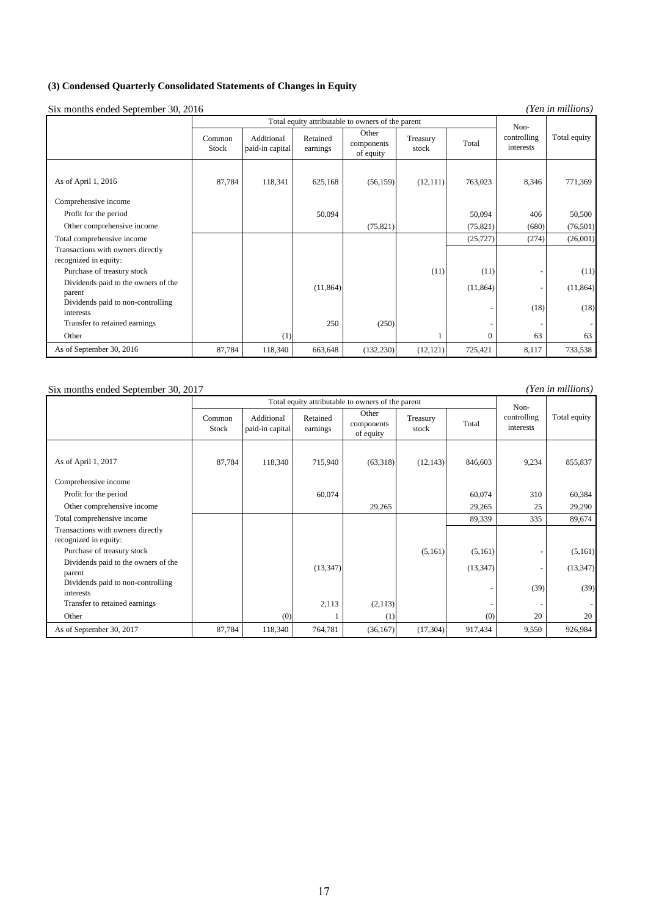### **(3) Condensed Quarterly Consolidated Statements of Changes in Equity**

Six months ended September 30, 2016

*(Yen in millions)*

|                                                |                 |                               |                      | Total equity attributable to owners of the parent |                   |              | Non-                     |              |
|------------------------------------------------|-----------------|-------------------------------|----------------------|---------------------------------------------------|-------------------|--------------|--------------------------|--------------|
|                                                | Common<br>Stock | Additional<br>paid-in capital | Retained<br>earnings | Other<br>components<br>of equity                  | Treasury<br>stock | Total        | controlling<br>interests | Total equity |
| As of April 1, 2016                            | 87,784          | 118,341                       | 625,168              | (56, 159)                                         | (12, 111)         | 763,023      | 8,346                    | 771,369      |
| Comprehensive income                           |                 |                               |                      |                                                   |                   |              |                          |              |
| Profit for the period                          |                 |                               | 50,094               |                                                   |                   | 50,094       | 406                      | 50,500       |
| Other comprehensive income                     |                 |                               |                      | (75, 821)                                         |                   | (75, 821)    | (680)                    | (76,501)     |
| Total comprehensive income                     |                 |                               |                      |                                                   |                   | (25, 727)    | (274)                    | (26,001)     |
| Transactions with owners directly              |                 |                               |                      |                                                   |                   |              |                          |              |
| recognized in equity:                          |                 |                               |                      |                                                   |                   |              |                          |              |
| Purchase of treasury stock                     |                 |                               |                      |                                                   | (11)              | (11)         |                          | (11)         |
| Dividends paid to the owners of the<br>parent  |                 |                               | (11, 864)            |                                                   |                   | (11, 864)    |                          | (11, 864)    |
| Dividends paid to non-controlling<br>interests |                 |                               |                      |                                                   |                   |              | (18)                     | (18)         |
| Transfer to retained earnings                  |                 |                               | 250                  | (250)                                             |                   |              |                          |              |
| Other                                          |                 | (1)                           |                      |                                                   |                   | $\mathbf{0}$ | 63                       | 63           |
| As of September 30, 2016                       | 87,784          | 118,340                       | 663,648              | (132, 230)                                        | (12, 121)         | 725,421      | 8,117                    | 733,538      |

### Six months ended September 30, 2017

*(Yen in millions)*

|                                                |                 | Total equity attributable to owners of the parent |                      | Non-                             |                   |           |                          |              |
|------------------------------------------------|-----------------|---------------------------------------------------|----------------------|----------------------------------|-------------------|-----------|--------------------------|--------------|
|                                                | Common<br>Stock | Additional<br>paid-in capital                     | Retained<br>earnings | Other<br>components<br>of equity | Treasury<br>stock | Total     | controlling<br>interests | Total equity |
| As of April 1, 2017                            | 87,784          | 118,340                                           | 715,940              | (63,318)                         | (12, 143)         | 846,603   | 9,234                    | 855,837      |
| Comprehensive income                           |                 |                                                   |                      |                                  |                   |           |                          |              |
| Profit for the period                          |                 |                                                   | 60,074               |                                  |                   | 60,074    | 310                      | 60,384       |
| Other comprehensive income                     |                 |                                                   |                      | 29,265                           |                   | 29,265    | 25                       | 29,290       |
| Total comprehensive income                     |                 |                                                   |                      |                                  |                   | 89,339    | 335                      | 89,674       |
| Transactions with owners directly              |                 |                                                   |                      |                                  |                   |           |                          |              |
| recognized in equity:                          |                 |                                                   |                      |                                  |                   |           |                          |              |
| Purchase of treasury stock                     |                 |                                                   |                      |                                  | (5,161)           | (5,161)   |                          | (5,161)      |
| Dividends paid to the owners of the<br>parent  |                 |                                                   | (13, 347)            |                                  |                   | (13, 347) |                          | (13, 347)    |
| Dividends paid to non-controlling<br>interests |                 |                                                   |                      |                                  |                   |           | (39)                     | (39)         |
| Transfer to retained earnings                  |                 |                                                   | 2,113                | (2,113)                          |                   |           |                          |              |
| Other                                          |                 | (0)                                               |                      | (1)                              |                   | (0)       | 20                       | 20           |
| As of September 30, 2017                       | 87,784          | 118,340                                           | 764,781              | (36, 167)                        | (17, 304)         | 917,434   | 9,550                    | 926,984      |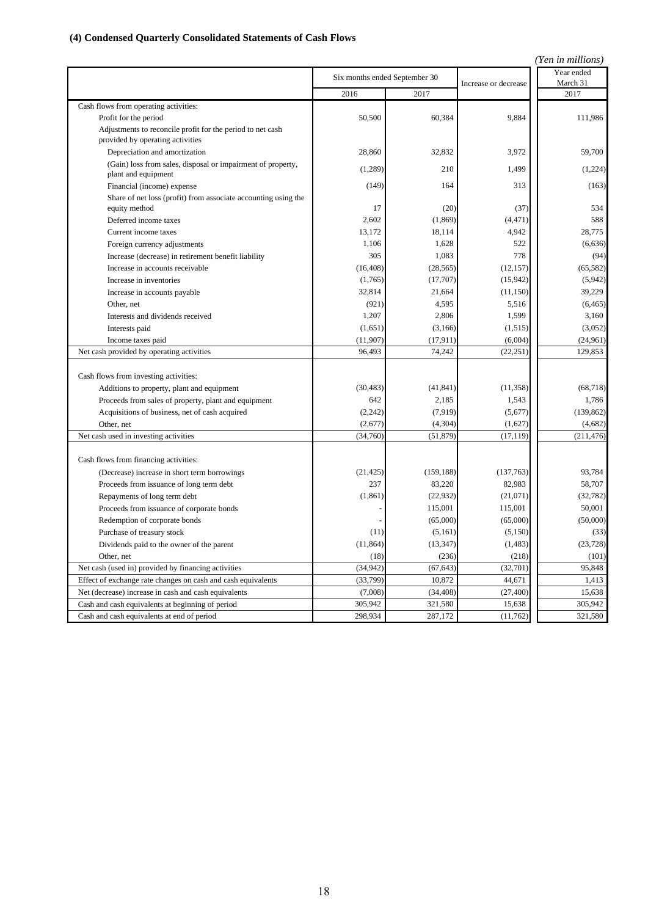# **(4) Condensed Quarterly Consolidated Statements of Cash Flows**

|                                                                                                |                               |            |                      | (Yen in millions)      |
|------------------------------------------------------------------------------------------------|-------------------------------|------------|----------------------|------------------------|
|                                                                                                | Six months ended September 30 |            | Increase or decrease | Year ended<br>March 31 |
|                                                                                                | 2016                          | 2017       |                      | 2017                   |
| Cash flows from operating activities:                                                          |                               |            |                      |                        |
| Profit for the period                                                                          | 50,500                        | 60,384     | 9.884                | 111,986                |
| Adjustments to reconcile profit for the period to net cash<br>provided by operating activities |                               |            |                      |                        |
| Depreciation and amortization                                                                  | 28,860                        | 32,832     | 3,972                | 59,700                 |
| (Gain) loss from sales, disposal or impairment of property,<br>plant and equipment             | (1,289)                       | 210        | 1,499                | (1,224)                |
| Financial (income) expense                                                                     | (149)                         | 164        | 313                  | (163)                  |
| Share of net loss (profit) from associate accounting using the<br>equity method                | 17                            | (20)       | (37)                 | 534                    |
| Deferred income taxes                                                                          | 2,602                         | (1, 869)   | (4, 471)             | 588                    |
| Current income taxes                                                                           | 13,172                        | 18,114     | 4,942                | 28,775                 |
| Foreign currency adjustments                                                                   | 1,106                         | 1,628      | 522                  | (6,636)                |
| Increase (decrease) in retirement benefit liability                                            | 305                           | 1,083      | 778                  | (94)                   |
| Increase in accounts receivable                                                                | (16, 408)                     | (28, 565)  | (12, 157)            | (65, 582)              |
| Increase in inventories                                                                        | (1,765)                       | (17,707)   | (15,942)             | (5,942)                |
| Increase in accounts payable                                                                   | 32,814                        | 21,664     | (11, 150)            | 39,229                 |
| Other, net                                                                                     | (921)                         | 4,595      | 5,516                | (6, 465)               |
| Interests and dividends received                                                               | 1,207                         | 2,806      | 1,599                | 3,160                  |
| Interests paid                                                                                 | (1,651)                       | (3, 166)   | (1, 515)             | (3,052)                |
| Income taxes paid                                                                              | (11, 907)                     | (17, 911)  | (6,004)              | (24,961)               |
| Net cash provided by operating activities                                                      | 96,493                        | 74,242     | (22, 251)            | 129,853                |
| Cash flows from investing activities:                                                          |                               |            |                      |                        |
| Additions to property, plant and equipment                                                     | (30, 483)                     | (41, 841)  | (11, 358)            | (68, 718)              |
| Proceeds from sales of property, plant and equipment                                           | 642                           | 2.185      | 1.543                | 1.786                  |
| Acquisitions of business, net of cash acquired                                                 | (2, 242)                      | (7, 919)   | (5,677)              | (139, 862)             |
| Other, net                                                                                     | (2,677)                       | (4, 304)   | (1,627)              | (4,682)                |
| Net cash used in investing activities                                                          | (34,760)                      | (51, 879)  | (17, 119)            | (211, 476)             |
| Cash flows from financing activities:                                                          |                               |            |                      |                        |
| (Decrease) increase in short term borrowings                                                   | (21, 425)                     | (159, 188) | (137,763)            | 93,784                 |
| Proceeds from issuance of long term debt                                                       | 237                           | 83,220     | 82,983               | 58,707                 |
| Repayments of long term debt                                                                   | (1, 861)                      | (22, 932)  | (21,071)             | (32, 782)              |
| Proceeds from issuance of corporate bonds                                                      |                               | 115,001    | 115,001              | 50,001                 |
| Redemption of corporate bonds                                                                  |                               | (65,000)   | (65,000)             | (50,000)               |
| Purchase of treasury stock                                                                     | (11)                          | (5,161)    | (5, 150)             | (33)                   |
| Dividends paid to the owner of the parent                                                      | (11, 864)                     | (13, 347)  | (1, 483)             | (23, 728)              |
| Other, net                                                                                     | (18)                          | (236)      | (218)                | (101)                  |
| Net cash (used in) provided by financing activities                                            | (34,942)                      | (67, 643)  | (32,701)             | 95,848                 |
| Effect of exchange rate changes on cash and cash equivalents                                   | (33,799)                      | 10,872     | 44,671               | 1,413                  |
| Net (decrease) increase in cash and cash equivalents                                           | (7,008)                       | (34, 408)  | (27, 400)            | 15,638                 |
| Cash and cash equivalents at beginning of period                                               | 305,942                       | 321,580    | 15,638               | 305,942                |
| Cash and cash equivalents at end of period                                                     | 298,934                       | 287,172    | (11, 762)            | 321,580                |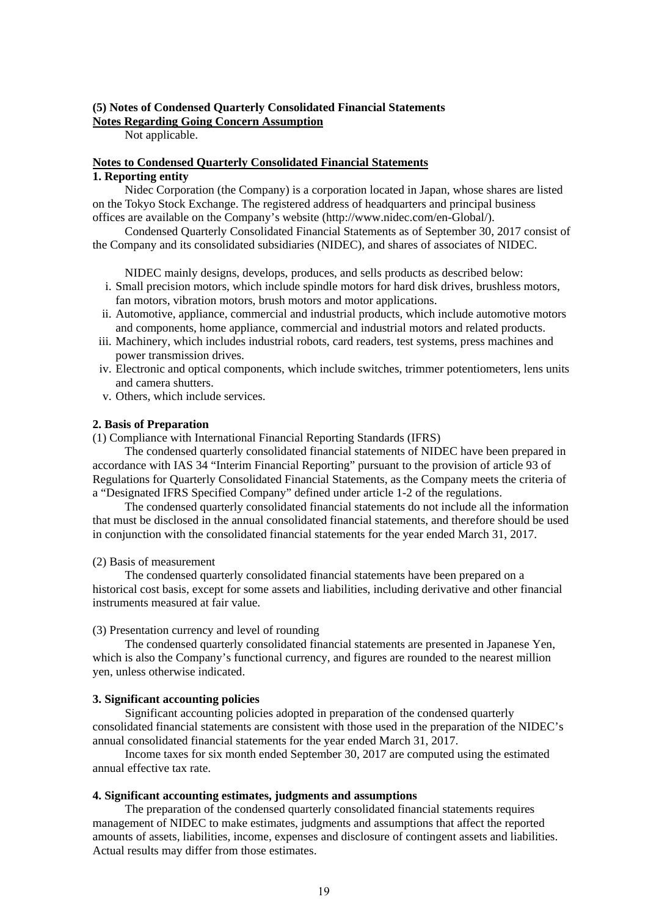### **(5) Notes of Condensed Quarterly Consolidated Financial Statements Notes Regarding Going Concern Assumption**

Not applicable.

### **Notes to Condensed Quarterly Consolidated Financial Statements 1. Reporting entity**

Nidec Corporation (the Company) is a corporation located in Japan, whose shares are listed on the Tokyo Stock Exchange. The registered address of headquarters and principal business offices are available on the Company's website (http://www.nidec.com/en-Global/).

Condensed Quarterly Consolidated Financial Statements as of September 30, 2017 consist of the Company and its consolidated subsidiaries (NIDEC), and shares of associates of NIDEC.

NIDEC mainly designs, develops, produces, and sells products as described below:

- i. Small precision motors, which include spindle motors for hard disk drives, brushless motors, fan motors, vibration motors, brush motors and motor applications.
- ii. Automotive, appliance, commercial and industrial products, which include automotive motors and components, home appliance, commercial and industrial motors and related products.
- iii. Machinery, which includes industrial robots, card readers, test systems, press machines and power transmission drives.
- iv. Electronic and optical components, which include switches, trimmer potentiometers, lens units and camera shutters.
- v. Others, which include services.

### **2. Basis of Preparation**

(1) Compliance with International Financial Reporting Standards (IFRS)

The condensed quarterly consolidated financial statements of NIDEC have been prepared in accordance with IAS 34 "Interim Financial Reporting" pursuant to the provision of article 93 of Regulations for Quarterly Consolidated Financial Statements, as the Company meets the criteria of a "Designated IFRS Specified Company" defined under article 1-2 of the regulations.

The condensed quarterly consolidated financial statements do not include all the information that must be disclosed in the annual consolidated financial statements, and therefore should be used in conjunction with the consolidated financial statements for the year ended March 31, 2017.

### (2) Basis of measurement

The condensed quarterly consolidated financial statements have been prepared on a historical cost basis, except for some assets and liabilities, including derivative and other financial instruments measured at fair value.

(3) Presentation currency and level of rounding

The condensed quarterly consolidated financial statements are presented in Japanese Yen, which is also the Company's functional currency, and figures are rounded to the nearest million yen, unless otherwise indicated.

### **3. Significant accounting policies**

Significant accounting policies adopted in preparation of the condensed quarterly consolidated financial statements are consistent with those used in the preparation of the NIDEC's annual consolidated financial statements for the year ended March 31, 2017.

Income taxes for six month ended September 30, 2017 are computed using the estimated annual effective tax rate.

### **4. Significant accounting estimates, judgments and assumptions**

The preparation of the condensed quarterly consolidated financial statements requires management of NIDEC to make estimates, judgments and assumptions that affect the reported amounts of assets, liabilities, income, expenses and disclosure of contingent assets and liabilities. Actual results may differ from those estimates.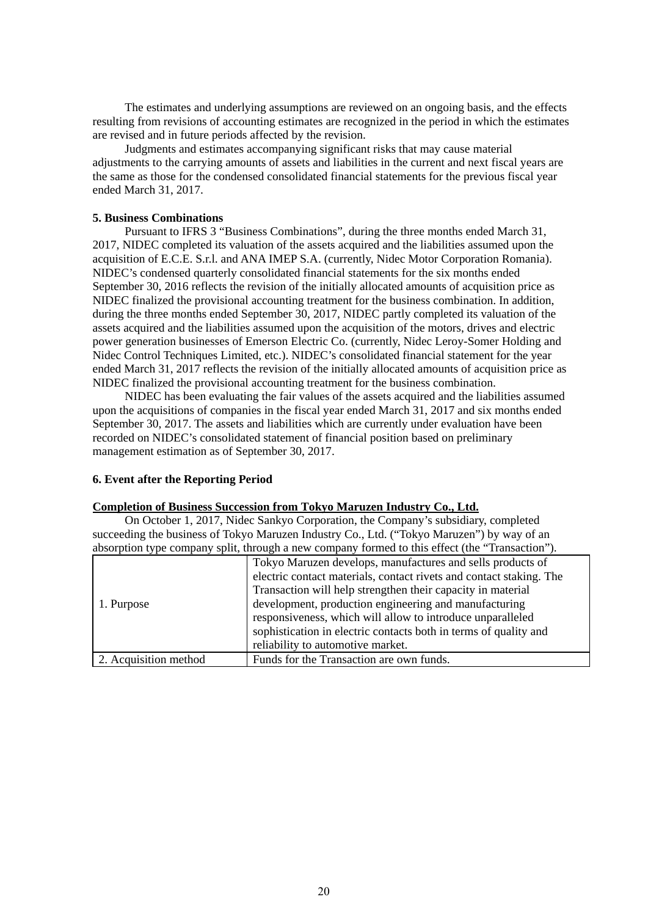The estimates and underlying assumptions are reviewed on an ongoing basis, and the effects resulting from revisions of accounting estimates are recognized in the period in which the estimates are revised and in future periods affected by the revision.

Judgments and estimates accompanying significant risks that may cause material adjustments to the carrying amounts of assets and liabilities in the current and next fiscal years are the same as those for the condensed consolidated financial statements for the previous fiscal year ended March 31, 2017.

### **5. Business Combinations**

Pursuant to IFRS 3 "Business Combinations", during the three months ended March 31, 2017, NIDEC completed its valuation of the assets acquired and the liabilities assumed upon the acquisition of E.C.E. S.r.l. and ANA IMEP S.A. (currently, Nidec Motor Corporation Romania). NIDEC's condensed quarterly consolidated financial statements for the six months ended September 30, 2016 reflects the revision of the initially allocated amounts of acquisition price as NIDEC finalized the provisional accounting treatment for the business combination. In addition, during the three months ended September 30, 2017, NIDEC partly completed its valuation of the assets acquired and the liabilities assumed upon the acquisition of the motors, drives and electric power generation businesses of Emerson Electric Co. (currently, Nidec Leroy-Somer Holding and Nidec Control Techniques Limited, etc.). NIDEC's consolidated financial statement for the year ended March 31, 2017 reflects the revision of the initially allocated amounts of acquisition price as NIDEC finalized the provisional accounting treatment for the business combination.

NIDEC has been evaluating the fair values of the assets acquired and the liabilities assumed upon the acquisitions of companies in the fiscal year ended March 31, 2017 and six months ended September 30, 2017. The assets and liabilities which are currently under evaluation have been recorded on NIDEC's consolidated statement of financial position based on preliminary management estimation as of September 30, 2017.

### **6. Event after the Reporting Period**

### **Completion of Business Succession from Tokyo Maruzen Industry Co., Ltd.**

On October 1, 2017, Nidec Sankyo Corporation, the Company's subsidiary, completed succeeding the business of Tokyo Maruzen Industry Co., Ltd. ("Tokyo Maruzen") by way of an absorption type company split, through a new company formed to this effect (the "Transaction").

|                       | absorption type company spin, unough a new company formed to this effect (the Transaction ). |
|-----------------------|----------------------------------------------------------------------------------------------|
|                       | Tokyo Maruzen develops, manufactures and sells products of                                   |
|                       | electric contact materials, contact rivets and contact staking. The                          |
|                       | Transaction will help strengthen their capacity in material                                  |
| 1. Purpose            | development, production engineering and manufacturing                                        |
|                       | responsiveness, which will allow to introduce unparalleled                                   |
|                       | sophistication in electric contacts both in terms of quality and                             |
|                       | reliability to automotive market.                                                            |
| 2. Acquisition method | Funds for the Transaction are own funds.                                                     |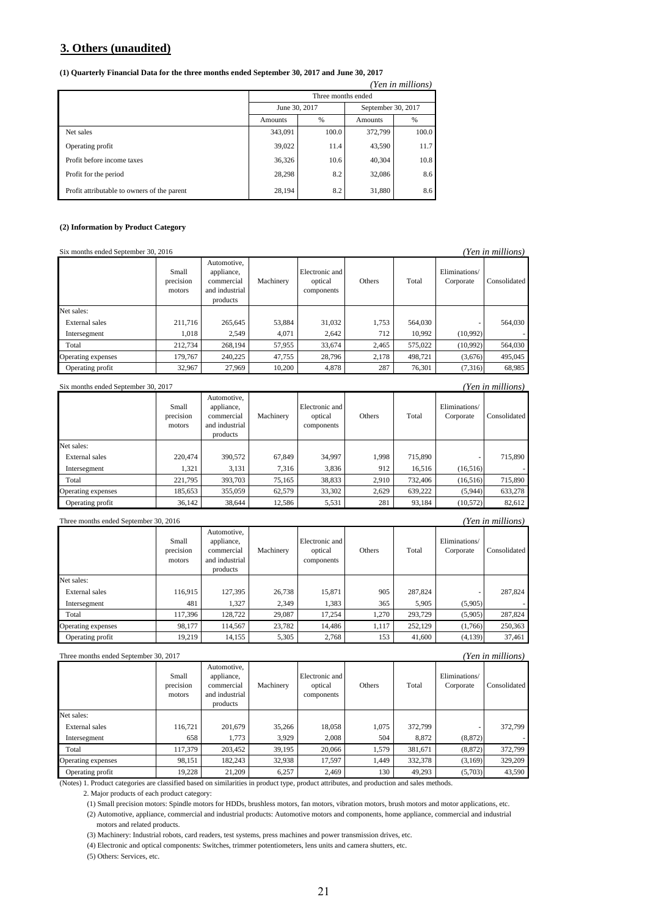### **3. Others (unaudited)**

#### **(1) Quarterly Financial Data for the three months ended September 30, 2017 and June 30, 2017**

| (Yen in millions)                           |                |                    |                    |               |  |  |  |  |
|---------------------------------------------|----------------|--------------------|--------------------|---------------|--|--|--|--|
|                                             |                | Three months ended |                    |               |  |  |  |  |
|                                             |                | June 30, 2017      | September 30, 2017 |               |  |  |  |  |
|                                             | <b>Amounts</b> | $\%$               | <b>Amounts</b>     | $\frac{9}{6}$ |  |  |  |  |
| Net sales                                   | 343,091        | 100.0              | 372,799            | 100.0         |  |  |  |  |
| Operating profit                            | 39,022         | 11.4               | 43,590             | 11.7          |  |  |  |  |
| Profit before income taxes                  | 36,326         | 10.6               | 40,304             | 10.8          |  |  |  |  |
| Profit for the period                       | 28,298         | 8.2                | 32,086             | 8.6           |  |  |  |  |
| Profit attributable to owners of the parent | 28,194         | 8.2                | 31,880             | 8.6           |  |  |  |  |

#### **(2) Information by Product Category**

| (Yen in millions)<br>Six months ended September 30, 2016 |                              |                                                                       |           |                                         |        |         |                            |              |
|----------------------------------------------------------|------------------------------|-----------------------------------------------------------------------|-----------|-----------------------------------------|--------|---------|----------------------------|--------------|
|                                                          | Small<br>precision<br>motors | Automotive,<br>appliance,<br>commercial<br>and industrial<br>products | Machinery | Electronic and<br>optical<br>components | Others | Total   | Eliminations/<br>Corporate | Consolidated |
| Net sales:                                               |                              |                                                                       |           |                                         |        |         |                            |              |
| External sales                                           | 211,716                      | 265,645                                                               | 53.884    | 31,032                                  | 1,753  | 564,030 |                            | 564,030      |
| Intersegment                                             | 1,018                        | 2.549                                                                 | 4.071     | 2.642                                   | 712    | 10.992  | (10,992)                   |              |
| Total                                                    | 212,734                      | 268,194                                                               | 57.955    | 33,674                                  | 2,465  | 575,022 | (10,992)                   | 564,030      |
| Operating expenses                                       | 179,767                      | 240,225                                                               | 47.755    | 28,796                                  | 2,178  | 498,721 | (3,676)                    | 495.045      |
| Operating profit                                         | 32,967                       | 27,969                                                                | 10,200    | 4,878                                   | 287    | 76,301  | (7,316)                    | 68,985       |
|                                                          |                              |                                                                       |           |                                         |        |         |                            |              |

| Yen in millions)<br>Six months ended September 30, 2017 |                              |                                                                       |           |                                         |        |         |                            |              |  |
|---------------------------------------------------------|------------------------------|-----------------------------------------------------------------------|-----------|-----------------------------------------|--------|---------|----------------------------|--------------|--|
|                                                         | Small<br>precision<br>motors | Automotive.<br>appliance,<br>commercial<br>and industrial<br>products | Machinery | Electronic and<br>optical<br>components | Others | Total   | Eliminations/<br>Corporate | Consolidated |  |
| Net sales:                                              |                              |                                                                       |           |                                         |        |         |                            |              |  |
| External sales                                          | 220,474                      | 390,572                                                               | 67.849    | 34.997                                  | 1,998  | 715,890 |                            | 715,890      |  |
| Intersegment                                            | 1,321                        | 3,131                                                                 | 7.316     | 3,836                                   | 912    | 16,516  | (16,516)                   |              |  |
| Total                                                   | 221,795                      | 393,703                                                               | 75.165    | 38,833                                  | 2,910  | 732,406 | (16,516)                   | 715,890      |  |
| Operating expenses                                      | 185,653                      | 355,059                                                               | 62,579    | 33,302                                  | 2,629  | 639,222 | (5,944)                    | 633.278      |  |
| Operating profit                                        | 36,142                       | 38.644                                                                | 12.586    | 5,531                                   | 281    | 93.184  | (10,572)                   | 82,612       |  |

| Three months ended September 30, 2016 |       |                 |          |                |               |             |               | (Yen in millions) |
|---------------------------------------|-------|-----------------|----------|----------------|---------------|-------------|---------------|-------------------|
|                                       |       | Automotive.     |          |                |               |             |               |                   |
|                                       | Small | appliance.      |          | Electronic and |               |             | ≝lımınatıons∕ |                   |
|                                       |       | $\cdot$ $\cdot$ | $\cdots$ |                | $\sim$ $\sim$ | $m \cdot 1$ |               |                   |

|                    | precision<br>motors | commercial<br>and industrial<br>products | Machinery | optical<br>components | Others | Total   | Corporate | Consolidated |
|--------------------|---------------------|------------------------------------------|-----------|-----------------------|--------|---------|-----------|--------------|
| Net sales:         |                     |                                          |           |                       |        |         |           |              |
| External sales     | 116.915             | 127,395                                  | 26,738    | 15.871                | 905    | 287,824 |           | 287,824      |
| Intersegment       | 481                 | 1,327                                    | 2.349     | 1,383                 | 365    | 5.905   | (5,905)   |              |
| Total              | 117.396             | 128.722                                  | 29,087    | 17.254                | 1.270  | 293,729 | (5,905)   | 287,824      |
| Operating expenses | 98.177              | 114.567                                  | 23,782    | 14.486                | 1,117  | 252,129 | (1.766)   | 250,363      |
| Operating profit   | 19.219              | 14,155                                   | 5,305     | 2,768                 | 153    | 41,600  | (4,139)   | 37.461       |

#### Three months ended September 30, 2017 *(Yen in millions)*

|                    | Small<br>precision<br>motors | Automotive,<br>appliance,<br>commercial<br>and industrial<br>products | Machinery | Electronic and<br>optical<br>components | Others | Total   | Eliminations/<br>Corporate | Consolidated |
|--------------------|------------------------------|-----------------------------------------------------------------------|-----------|-----------------------------------------|--------|---------|----------------------------|--------------|
| Net sales:         |                              |                                                                       |           |                                         |        |         |                            |              |
| External sales     | 116.721                      | 201,679                                                               | 35,266    | 18,058                                  | 1.075  | 372,799 |                            | 372,799      |
| Intersegment       | 658                          | 1.773                                                                 | 3.929     | 2.008                                   | 504    | 8.872   | (8, 872)                   |              |
| Total              | 117,379                      | 203,452                                                               | 39,195    | 20,066                                  | 1.579  | 381,671 | (8,872)                    | 372,799      |
| Operating expenses | 98,151                       | 182,243                                                               | 32,938    | 17,597                                  | 1.449  | 332,378 | (3,169)                    | 329,209      |
| Operating profit   | 19.228                       | 21,209                                                                | 6,257     | 2.469                                   | 130    | 49,293  | (5,703)                    | 43,590       |

(Notes) 1. Product categories are classified based on similarities in product type, product attributes, and production and sales methods.

2. Major products of each product category:

(1) Small precision motors: Spindle motors for HDDs, brushless motors, fan motors, vibration motors, brush motors and motor applications, etc. (2) Automotive, appliance, commercial and industrial products: Automotive motors and components, home appliance, commercial and industrial motors and related products.

(3) Machinery: Industrial robots, card readers, test systems, press machines and power transmission drives, etc.

(4) Electronic and optical components: Switches, trimmer potentiometers, lens units and camera shutters, etc.

(5) Others: Services, etc.

### 21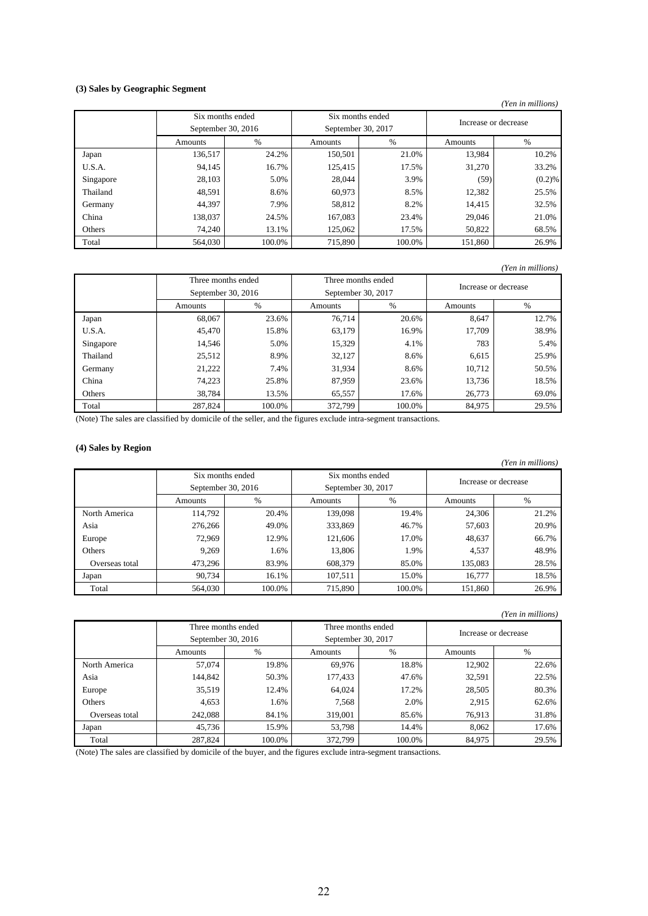### **(3) Sales by Geographic Segment**

#### *(Yen in millions)*

|           | Six months ended   |        | Six months ended   |        | Increase or decrease |        |
|-----------|--------------------|--------|--------------------|--------|----------------------|--------|
|           | September 30, 2016 |        | September 30, 2017 |        |                      |        |
|           | Amounts            | %      | Amounts            | $\%$   | Amounts              | %      |
| Japan     | 136,517            | 24.2%  | 150,501            | 21.0%  | 13,984               | 10.2%  |
| U.S.A.    | 94,145             | 16.7%  | 125,415            | 17.5%  | 31,270               | 33.2%  |
| Singapore | 28,103             | 5.0%   | 28,044             | 3.9%   | (59)                 | (0.2)% |
| Thailand  | 48,591             | 8.6%   | 60,973             | 8.5%   | 12,382               | 25.5%  |
| Germany   | 44,397             | 7.9%   | 58,812             | 8.2%   | 14,415               | 32.5%  |
| China     | 138,037            | 24.5%  | 167,083            | 23.4%  | 29,046               | 21.0%  |
| Others    | 74,240             | 13.1%  | 125,062            | 17.5%  | 50,822               | 68.5%  |
| Total     | 564,030            | 100.0% | 715,890            | 100.0% | 151,860              | 26.9%  |

### *(Yen in millions)*

|           |         | Three months ended |         | Three months ended                         |         |       |
|-----------|---------|--------------------|---------|--------------------------------------------|---------|-------|
|           |         | September 30, 2016 |         | Increase or decrease<br>September 30, 2017 |         |       |
|           | Amounts | %                  | Amounts | $\%$                                       | Amounts | $\%$  |
| Japan     | 68,067  | 23.6%              | 76.714  | 20.6%                                      | 8.647   | 12.7% |
| U.S.A.    | 45,470  | 15.8%              | 63,179  | 16.9%                                      | 17,709  | 38.9% |
| Singapore | 14,546  | 5.0%               | 15,329  | 4.1%                                       | 783     | 5.4%  |
| Thailand  | 25,512  | 8.9%               | 32,127  | 8.6%                                       | 6,615   | 25.9% |
| Germany   | 21,222  | 7.4%               | 31,934  | 8.6%                                       | 10,712  | 50.5% |
| China     | 74,223  | 25.8%              | 87,959  | 23.6%                                      | 13,736  | 18.5% |
| Others    | 38,784  | 13.5%              | 65,557  | 17.6%                                      | 26,773  | 69.0% |
| Total     | 287,824 | 100.0%             | 372,799 | 100.0%                                     | 84,975  | 29.5% |

(Note) The sales are classified by domicile of the seller, and the figures exclude intra-segment transactions.

### **(4) Sales by Region**

|                |                  |                    |         |                    |         | (Yen in millions)    |  |
|----------------|------------------|--------------------|---------|--------------------|---------|----------------------|--|
|                | Six months ended |                    |         | Six months ended   |         | Increase or decrease |  |
|                |                  | September 30, 2016 |         | September 30, 2017 |         |                      |  |
|                | Amounts          | %                  | Amounts | $\%$               | Amounts | $\%$                 |  |
| North America  | 114,792          | 20.4%              | 139,098 | 19.4%              | 24,306  | 21.2%                |  |
| Asia           | 276,266          | 49.0%              | 333,869 | 46.7%              | 57,603  | 20.9%                |  |
| Europe         | 72,969           | 12.9%              | 121,606 | 17.0%              | 48,637  | 66.7%                |  |
| Others         | 9.269            | 1.6%               | 13,806  | 1.9%               | 4,537   | 48.9%                |  |
| Overseas total | 473,296          | 83.9%              | 608,379 | 85.0%              | 135,083 | 28.5%                |  |
| Japan          | 90.734           | 16.1%              | 107,511 | 15.0%              | 16,777  | 18.5%                |  |
| Total          | 564,030          | 100.0%             | 715,890 | 100.0%             | 151,860 | 26.9%                |  |

#### *(Yen in millions)*

|                | Three months ended |        |                    | Three months ended |         | Increase or decrease |  |
|----------------|--------------------|--------|--------------------|--------------------|---------|----------------------|--|
|                | September 30, 2016 |        | September 30, 2017 |                    |         |                      |  |
|                | Amounts            | %      | Amounts            | $\frac{0}{0}$      | Amounts | %                    |  |
| North America  | 57,074             | 19.8%  | 69.976             | 18.8%              | 12,902  | 22.6%                |  |
| Asia           | 144,842            | 50.3%  | 177,433            | 47.6%              | 32,591  | 22.5%                |  |
| Europe         | 35,519             | 12.4%  | 64,024             | 17.2%              | 28,505  | 80.3%                |  |
| Others         | 4,653              | 1.6%   | 7,568              | 2.0%               | 2,915   | 62.6%                |  |
| Overseas total | 242,088            | 84.1%  | 319,001            | 85.6%              | 76,913  | 31.8%                |  |
| Japan          | 45.736             | 15.9%  | 53.798             | 14.4%              | 8.062   | 17.6%                |  |
| Total          | 287,824            | 100.0% | 372,799            | 100.0%             | 84,975  | 29.5%                |  |

(Note) The sales are classified by domicile of the buyer, and the figures exclude intra-segment transactions.